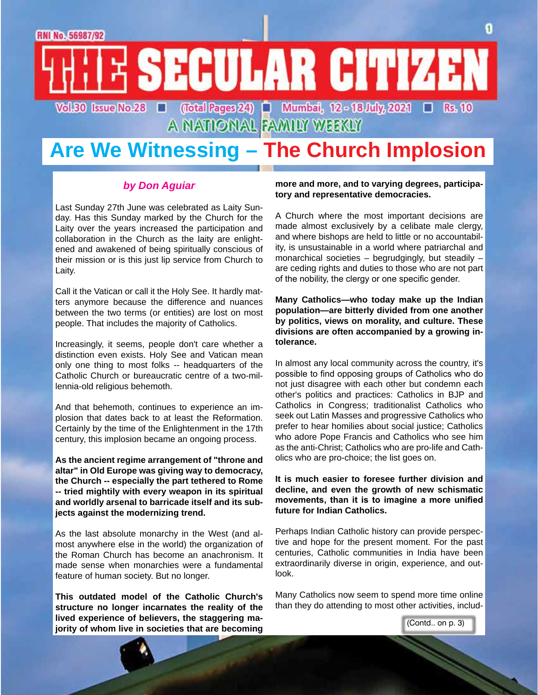

# **Are We Witnessing – The Church Implosion**

#### *by Don Aguiar*

Last Sunday 27th June was celebrated as Laity Sunday. Has this Sunday marked by the Church for the Laity over the years increased the participation and collaboration in the Church as the laity are enlightened and awakened of being spiritually conscious of their mission or is this just lip service from Church to Laity.

Call it the Vatican or call it the Holy See. It hardly matters anymore because the difference and nuances between the two terms (or entities) are lost on most people. That includes the majority of Catholics.

Increasingly, it seems, people don't care whether a distinction even exists. Holy See and Vatican mean only one thing to most folks -- headquarters of the Catholic Church or bureaucratic centre of a two-millennia-old religious behemoth.

And that behemoth, continues to experience an implosion that dates back to at least the Reformation. Certainly by the time of the Enlightenment in the 17th century, this implosion became an ongoing process.

**As the ancient regime arrangement of "throne and altar" in Old Europe was giving way to democracy, the Church -- especially the part tethered to Rome -- tried mightily with every weapon in its spiritual and worldly arsenal to barricade itself and its subjects against the modernizing trend.**

As the last absolute monarchy in the West (and almost anywhere else in the world) the organization of the Roman Church has become an anachronism. It made sense when monarchies were a fundamental feature of human society. But no longer.

**This outdated model of the Catholic Church's structure no longer incarnates the reality of the lived experience of believers, the staggering majority of whom live in societies that are becoming** 

#### **more and more, and to varying degrees, participatory and representative democracies.**

A Church where the most important decisions are made almost exclusively by a celibate male clergy, and where bishops are held to little or no accountability, is unsustainable in a world where patriarchal and monarchical societies – begrudgingly, but steadily – are ceding rights and duties to those who are not part of the nobility, the clergy or one specific gender.

**Many Catholics—who today make up the Indian population—are bitterly divided from one another by politics, views on morality, and culture. These divisions are often accompanied by a growing intolerance.**

In almost any local community across the country, it's possible to find opposing groups of Catholics who do not just disagree with each other but condemn each other's politics and practices: Catholics in BJP and Catholics in Congress; traditionalist Catholics who seek out Latin Masses and progressive Catholics who prefer to hear homilies about social justice; Catholics who adore Pope Francis and Catholics who see him as the anti-Christ; Catholics who are pro-life and Catholics who are pro-choice; the list goes on.

**It is much easier to foresee further division and decline, and even the growth of new schismatic movements, than it is to imagine a more unified future for Indian Catholics.**

Perhaps Indian Catholic history can provide perspective and hope for the present moment. For the past centuries, Catholic communities in India have been extraordinarily diverse in origin, experience, and outlook.

Many Catholics now seem to spend more time online than they do attending to most other activities, includ-

(Contd.. on p. 3)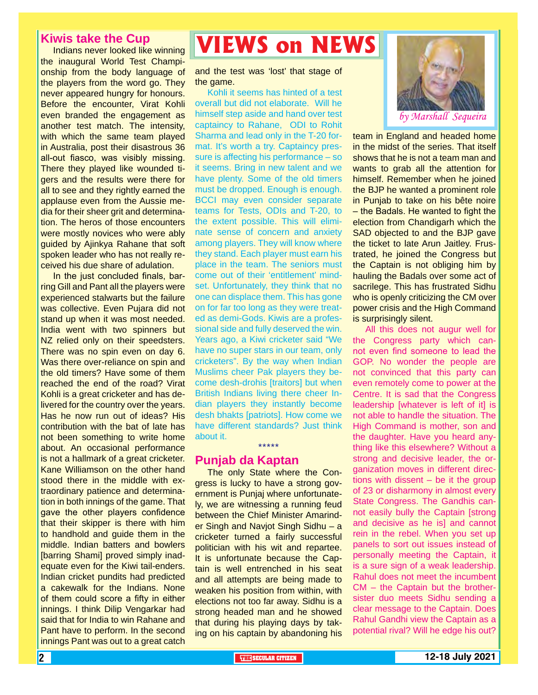#### **Kiwis take the Cup**

Indians never looked like winning the inaugural World Test Championship from the body language of the players from the word go. They never appeared hungry for honours. Before the encounter, Virat Kohli even branded the engagement as another test match. The intensity, with which the same team played in Australia, post their disastrous 36 all-out fiasco, was visibly missing. There they played like wounded tigers and the results were there for all to see and they rightly earned the applause even from the Aussie media for their sheer grit and determination. The heros of those encounters were mostly novices who were ably guided by Ajinkya Rahane that soft spoken leader who has not really received his due share of adulation.

In the just concluded finals, barring Gill and Pant all the players were experienced stalwarts but the failure was collective. Even Pujara did not stand up when it was most needed. India went with two spinners but NZ relied only on their speedsters. There was no spin even on day 6. Was there over-reliance on spin and the old timers? Have some of them reached the end of the road? Virat Kohli is a great cricketer and has delivered for the country over the years. Has he now run out of ideas? His contribution with the bat of late has not been something to write home about. An occasional performance is not a hallmark of a great cricketer. Kane Williamson on the other hand stood there in the middle with extraordinary patience and determination in both innings of the game. That gave the other players confidence that their skipper is there with him to handhold and guide them in the middle. Indian batters and bowlers [barring Shami] proved simply inadequate even for the Kiwi tail-enders. Indian cricket pundits had predicted a cakewalk for the Indians. None of them could score a fifty in either innings. I think Dilip Vengarkar had said that for India to win Rahane and Pant have to perform. In the second innings Pant was out to a great catch

# **VIEWS on NEWS**

and the test was 'lost' that stage of the game.

Kohli it seems has hinted of a test overall but did not elaborate. Will he himself step aside and hand over test captaincy to Rahane, ODI to Rohit Sharma and lead only in the T-20 format. It's worth a try. Captaincy pressure is affecting his performance – so it seems. Bring in new talent and we have plenty. Some of the old timers must be dropped. Enough is enough. BCCI may even consider separate teams for Tests, ODIs and T-20, to the extent possible. This will eliminate sense of concern and anxiety among players. They will know where they stand. Each player must earn his place in the team. The seniors must come out of their 'entitlement' mindset. Unfortunately, they think that no one can displace them. This has gone on for far too long as they were treated as demi-Gods. Kiwis are a professional side and fully deserved the win. Years ago, a Kiwi cricketer said "We have no super stars in our team, only cricketers". By the way when Indian Muslims cheer Pak players they become desh-drohis [traitors] but when British Indians living there cheer Indian players they instantly become desh bhakts [patriots]. How come we have different standards? Just think about it. \*\*\*\*\*

#### **Punjab da Kaptan**

The only State where the Congress is lucky to have a strong government is Punjaj where unfortunately, we are witnessing a running feud between the Chief Minister Amarinder Singh and Navjot Singh Sidhu – a cricketer turned a fairly successful politician with his wit and repartee. It is unfortunate because the Captain is well entrenched in his seat and all attempts are being made to weaken his position from within, with elections not too far away. Sidhu is a strong headed man and he showed that during his playing days by taking on his captain by abandoning his



team in England and headed home in the midst of the series. That itself shows that he is not a team man and wants to grab all the attention for himself. Remember when he joined the BJP he wanted a prominent role in Punjab to take on his bête noire – the Badals. He wanted to fight the election from Chandigarh which the SAD objected to and the BJP gave the ticket to late Arun Jaitley. Frustrated, he joined the Congress but the Captain is not obliging him by hauling the Badals over some act of sacrilege. This has frustrated Sidhu who is openly criticizing the CM over power crisis and the High Command is surprisingly silent.

 potential rival? Will he edge his out? All this does not augur well for the Congress party which cannot even find someone to lead the GOP. No wonder the people are not convinced that this party can even remotely come to power at the Centre. It is sad that the Congress leadership [whatever is left of it] is not able to handle the situation. The High Command is mother, son and the daughter. Have you heard anything like this elsewhere? Without a strong and decisive leader, the organization moves in different directions with dissent  $-$  be it the group of 23 or disharmony in almost every State Congress. The Gandhis cannot easily bully the Captain [strong and decisive as he is] and cannot rein in the rebel. When you set up panels to sort out issues instead of personally meeting the Captain, it is a sure sign of a weak leadership. Rahul does not meet the incumbent CM – the Captain but the brothersister duo meets Sidhu sending a clear message to the Captain. Does Rahul Gandhi view the Captain as a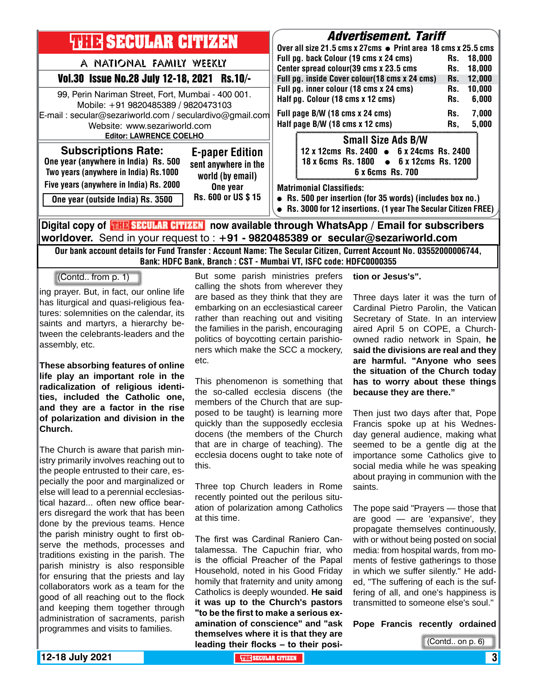| <b>THEIR SECULAR CITIZEN</b>                                                                                                                                                                                          |                                                                                                      |                                                                                                                                                    | <i><b>Advertisement. Tariff</b></i><br>Over all size 21.5 cms x 27cms • Print area 18 cms x 25.5 cms                                                          |                          |                                   |  |
|-----------------------------------------------------------------------------------------------------------------------------------------------------------------------------------------------------------------------|------------------------------------------------------------------------------------------------------|----------------------------------------------------------------------------------------------------------------------------------------------------|---------------------------------------------------------------------------------------------------------------------------------------------------------------|--------------------------|-----------------------------------|--|
| A NATIONAL FAMILY WEEKLY<br>Vol.30 Issue No.28 July 12-18, 2021 Rs.10/-                                                                                                                                               |                                                                                                      |                                                                                                                                                    | Full pg. back Colour (19 cms x 24 cms)<br>Center spread colour(39 cms x 23.5 cms<br>Full pg. inside Cover colour(18 cms x 24 cms)                             |                          |                                   |  |
| 99, Perin Nariman Street, Fort, Mumbai - 400 001.<br>Mobile: +91 9820485389 / 9820473103<br>E-mail: secular@sezariworld.com / seculardivo@gmail.com<br>Website: www.sezariworld.com<br><b>Editor: LAWRENCE COELHO</b> |                                                                                                      | Full pg. inner colour (18 cms x 24 cms)<br>Half pg. Colour (18 cms x 12 cms)<br>Full page B/W (18 cms x 24 cms)<br>Half page B/W (18 cms x 12 cms) |                                                                                                                                                               | Rs.<br>Rs.<br>Rs.<br>Rs, | 10,000<br>6,000<br>7,000<br>5,000 |  |
| <b>Subscriptions Rate:</b><br>One year (anywhere in India) Rs. 500<br>Two years (anywhere in India) Rs.1000                                                                                                           | <b>E-paper Edition</b><br>sent anywhere in the<br>world (by email)<br>One year<br>Rs. 600 or US \$15 |                                                                                                                                                    | <b>Small Size Ads B/W</b><br>12 x 12cms Rs. 2400 $\bullet$ 6 x 24cms Rs. 2400<br>18 x 6cms Rs. 1800 • 6 x 12cms Rs. 1200<br>6 x 6cms Rs. 700                  |                          |                                   |  |
| Five years (anywhere in India) Rs. 2000<br>One year (outside India) Rs. 3500                                                                                                                                          |                                                                                                      |                                                                                                                                                    | <b>Matrimonial Classifieds:</b><br>• Rs. 500 per insertion (for 35 words) (includes box no.)<br>Rs. 3000 for 12 insertions. (1 year The Secular Citizen FREE) |                          |                                   |  |
| Digital copy of <mark>珊球SECULAR CITIZEN</mark> now available through WhatsApp / Email for subscribers                                                                                                                 |                                                                                                      |                                                                                                                                                    |                                                                                                                                                               |                          |                                   |  |

**worldover.** Send in your request to : **+91 - 9820485389 or secular@sezariworld.com** Our bank account details for Fund Transfer : Account Name: The Secular Citizen, Current Account No. 03552000006744,

Bank: HDFC Bank, Branch : CST - Mumbai VT, ISFC code: HDFC0000355

(Contd.. from p. 1)

ing prayer. But, in fact, our online life has liturgical and quasi-religious features: solemnities on the calendar, its saints and martyrs, a hierarchy between the celebrants-leaders and the assembly, etc.

**These absorbing features of online life play an important role in the radicalization of religious identities, included the Catholic one, and they are a factor in the rise of polarization and division in the Church.**

The Church is aware that parish ministry primarily involves reaching out to the people entrusted to their care, especially the poor and marginalized or else will lead to a perennial ecclesiastical hazard... often new office bearers disregard the work that has been done by the previous teams. Hence the parish ministry ought to first observe the methods, processes and traditions existing in the parish. The parish ministry is also responsible for ensuring that the priests and lay collaborators work as a team for the good of all reaching out to the flock and keeping them together through administration of sacraments, parish programmes and visits to families.

But some parish ministries prefers calling the shots from wherever they are based as they think that they are embarking on an ecclesiastical career rather than reaching out and visiting the families in the parish, encouraging politics of boycotting certain parishioners which make the SCC a mockery, etc.

This phenomenon is something that the so-called ecclesia discens (the members of the Church that are supposed to be taught) is learning more quickly than the supposedly ecclesia docens (the members of the Church that are in charge of teaching). The ecclesia docens ought to take note of this.

Three top Church leaders in Rome recently pointed out the perilous situation of polarization among Catholics at this time.

The first was Cardinal Raniero Cantalamessa. The Capuchin friar, who is the official Preacher of the Papal Household, noted in his Good Friday homily that fraternity and unity among Catholics is deeply wounded. **He said it was up to the Church's pastors "to be the first to make a serious examination of conscience" and "ask themselves where it is that they are leading their flocks – to their posi-**

#### **tion or Jesus's".**

Three days later it was the turn of Cardinal Pietro Parolin, the Vatican Secretary of State. In an interview aired April 5 on COPE, a Churchowned radio network in Spain, **he said the divisions are real and they are harmful. "Anyone who sees the situation of the Church today has to worry about these things because they are there."**

Then just two days after that, Pope Francis spoke up at his Wednesday general audience, making what seemed to be a gentle dig at the importance some Catholics give to social media while he was speaking about praying in communion with the saints.

The pope said "Prayers — those that are good — are 'expansive', they propagate themselves continuously, with or without being posted on social media: from hospital wards, from moments of festive gatherings to those in which we suffer silently." He added, "The suffering of each is the suffering of all, and one's happiness is transmitted to someone else's soul."

**Pope Francis recently ordained** 

(Contd.. on p. 6)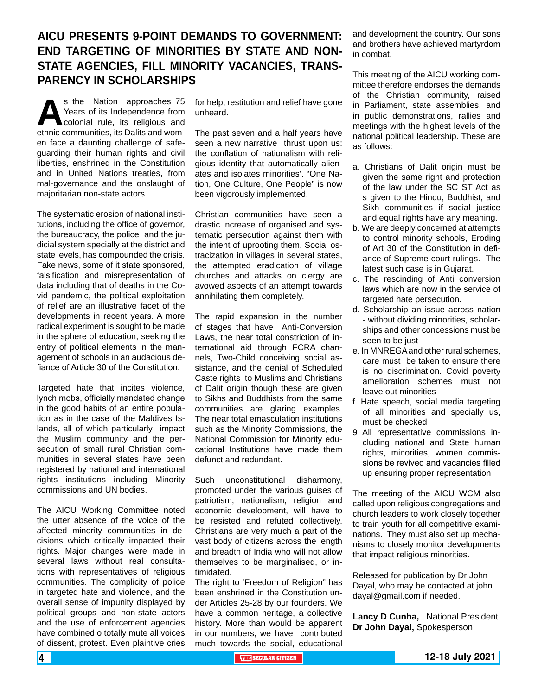#### **AICU PRESENTS 9-POINT DEMANDS TO GOVERNMENT: END TARGETING OF MINORITIES BY STATE AND NON-STATE AGENCIES, FILL MINORITY VACANCIES, TRANS-PARENCY IN SCHOLARSHIPS**

s the Nation approaches 75<br>Years of its Independence from<br>colonial rule, its religious and<br>ethnic communities its Dalits and wom-Years of its Independence from colonial rule, its religious and ethnic communities, its Dalits and women face a daunting challenge of safeguarding their human rights and civil liberties, enshrined in the Constitution and in United Nations treaties, from mal-governance and the onslaught of majoritarian non-state actors.

The systematic erosion of national institutions, including the office of governor, the bureaucracy, the police and the judicial system specially at the district and state levels, has compounded the crisis. Fake news, some of it state sponsored, falsification and misrepresentation of data including that of deaths in the Covid pandemic, the political exploitation of relief are an illustrative facet of the developments in recent years. A more radical experiment is sought to be made in the sphere of education, seeking the entry of political elements in the management of schools in an audacious defiance of Article 30 of the Constitution.

Targeted hate that incites violence, lynch mobs, officially mandated change in the good habits of an entire population as in the case of the Maldives Islands, all of which particularly impact the Muslim community and the persecution of small rural Christian communities in several states have been registered by national and international rights institutions including Minority commissions and UN bodies.

The AICU Working Committee noted the utter absence of the voice of the affected minority communities in decisions which critically impacted their rights. Major changes were made in several laws without real consultations with representatives of religious communities. The complicity of police in targeted hate and violence, and the overall sense of impunity displayed by political groups and non-state actors and the use of enforcement agencies have combined o totally mute all voices of dissent, protest. Even plaintive cries for help, restitution and relief have gone unheard.

The past seven and a half years have seen a new narrative thrust upon us: the conflation of nationalism with religious identity that automatically alienates and isolates minorities'. "One Nation, One Culture, One People" is now been vigorously implemented.

Christian communities have seen a drastic increase of organised and systematic persecution against them with the intent of uprooting them. Social ostracization in villages in several states, the attempted eradication of village churches and attacks on clergy are avowed aspects of an attempt towards annihilating them completely.

The rapid expansion in the number of stages that have Anti-Conversion Laws, the near total constriction of international aid through FCRA channels, Two-Child conceiving social assistance, and the denial of Scheduled Caste rights to Muslims and Christians of Dalit origin though these are given to Sikhs and Buddhists from the same communities are glaring examples. The near total emasculation institutions such as the Minority Commissions, the National Commission for Minority educational Institutions have made them defunct and redundant.

Such unconstitutional disharmony, promoted under the various guises of patriotism, nationalism, religion and economic development, will have to be resisted and refuted collectively. Christians are very much a part of the vast body of citizens across the length and breadth of India who will not allow themselves to be marginalised, or intimidated.

The right to 'Freedom of Religion" has been enshrined in the Constitution under Articles 25-28 by our founders. We have a common heritage, a collective history. More than would be apparent in our numbers, we have contributed much towards the social, educational and development the country. Our sons and brothers have achieved martyrdom in combat.

This meeting of the AICU working committee therefore endorses the demands of the Christian community, raised in Parliament, state assemblies, and in public demonstrations, rallies and meetings with the highest levels of the national political leadership. These are as follows:

- a. Christians of Dalit origin must be given the same right and protection of the law under the SC ST Act as s given to the Hindu, Buddhist, and Sikh communities if social justice and equal rights have any meaning.
- b. We are deeply concerned at attempts to control minority schools, Eroding of Art 30 of the Constitution in defiance of Supreme court rulings. The latest such case is in Gujarat.
- c. The rescinding of Anti conversion laws which are now in the service of targeted hate persecution.
- d. Scholarship an issue across nation - without dividing minorities, scholarships and other concessions must be seen to be just
- e. In MNREGA and other rural schemes, care must be taken to ensure there is no discrimination. Covid poverty amelioration schemes must not leave out minorities
- f. Hate speech, social media targeting of all minorities and specially us, must be checked
- 9 All representative commissions including national and State human rights, minorities, women commissions be revived and vacancies filled up ensuring proper representation

The meeting of the AICU WCM also called upon religious congregations and church leaders to work closely together to train youth for all competitive examinations. They must also set up mechanisms to closely monitor developments that impact religious minorities.

Released for publication by Dr John Dayal, who may be contacted at john. dayal@gmail.com if needed.

**Lancy D Cunha,** National President **Dr John Dayal,** Spokesperson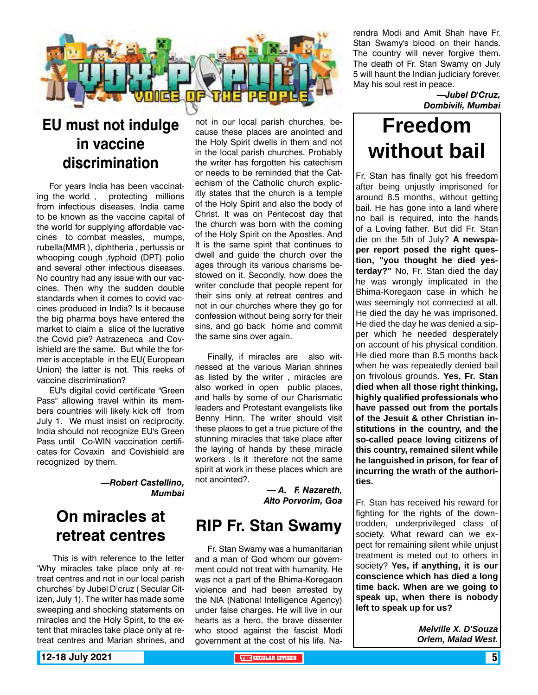

## **EU must not indulge in vaccine discrimination**

For years India has been vaccinating the world , protecting millions from infectious diseases. India came to be known as the vaccine capital of the world for supplying affordable vaccines to combat measles, mumps, rubella(MMR ), diphtheria , pertussis or whooping cough ,typhoid (DPT) polio and several other infectious diseases. No country had any issue with our vaccines. Then why the sudden double standards when it comes to covid vaccines produced in India? Is it because the big pharma boys have entered the market to claim a slice of the lucrative the Covid pie? Astrazeneca and Covishield are the same. But while the former is acceptable in the EU( European Union) the latter is not. This reeks of vaccine discrimination?

EU's digital covid certificate "Green Pass" allowing travel within its members countries will likely kick off from July 1. We must insist on reciprocity. India should not recognize EU's Green Pass until Co-WIN vaccination certificates for Covaxin and Covishield are recognized by them.

> *—Robert Castellino, Mumbai*

## **On miracles at retreat centres**

 This is with reference to the letter 'Why miracles take place only at retreat centres and not in our local parish churches' by Jubel D'cruz ( Secular Citizen, July 1). The writer has made some sweeping and shocking statements on miracles and the Holy Spirit, to the extent that miracles take place only at retreat centres and Marian shrines, and not in our local parish churches, because these places are anointed and the Holy Spirit dwells in them and not in the local parish churches. Probably the writer has forgotten his catechism or needs to be reminded that the Catechism of the Catholic church explicitly states that the church is a temple of the Holy Spirit and also the body of Christ. It was on Pentecost day that the church was born with the coming of the Holy Spirit on the Apostles. And It is the same spirit that continues to dwell and guide the church over the ages through its various charisms bestowed on it. Secondly, how does the writer conclude that people repent for their sins only at retreat centres and not in our churches where they go for confession without being sorry for their sins, and go back home and commit the same sins over again.

Finally, if miracles are also witnessed at the various Marian shrines as listed by the writer , miracles are also worked in open public places, and halls by some of our Charismatic leaders and Protestant evangelists like Benny Hinn. The writer should visit these places to get a true picture of the stunning miracles that take place after the laying of hands by these miracle workers . Is it therefore not the same spirit at work in these places which are not anointed?.

> *— A. F. Nazareth, Alto Porvorim, Goa*

### **RIP Fr. Stan Swamy**

Fr. Stan Swamy was a humanitarian and a man of God whom our government could not treat with humanity. He was not a part of the Bhima-Koregaon violence and had been arrested by the NIA (National Intelligence Agency) under false charges. He will live in our hearts as a hero, the brave dissenter who stood against the fascist Modi government at the cost of his life. Narendra Modi and Amit Shah have Fr. Stan Swamy's blood on their hands. The country will never forgive them. The death of Fr. Stan Swamy on July 5 will haunt the Indian judiciary forever. May his soul rest in peace.

> *—Jubel D'Cruz, Dombivili, Mumbai*

# **Freedom without bail**

Fr. Stan has finally got his freedom after being unjustly imprisoned for around 8.5 months, without getting bail. He has gone into a land where no bail is required, into the hands of a Loving father. But did Fr. Stan die on the 5th of July? **A newspaper report posed the right question, "you thought he died yesterday?"** No, Fr. Stan died the day he was wrongly implicated in the Bhima-Koregaon case in which he was seemingly not connected at all. He died the day he was imprisoned. He died the day he was denied a sipper which he needed desperately on account of his physical condition. He died more than 8.5 months back when he was repeatedly denied bail on frivolous grounds. **Yes, Fr. Stan died when all those right thinking, highly qualified professionals who have passed out from the portals of the Jesuit & other Christian institutions in the country, and the so-called peace loving citizens of this country, remained silent while he languished in prison, for fear of incurring the wrath of the authorities.** 

Fr. Stan has received his reward for fighting for the rights of the downtrodden, underprivileged class of society. What reward can we expect for remaining silent while unjust treatment is meted out to others in society? **Yes, if anything, it is our conscience which has died a long time back. When are we going to speak up, when there is nobody left to speak up for us?**

> *Melville X. D'Souza Orlem, Malad West.*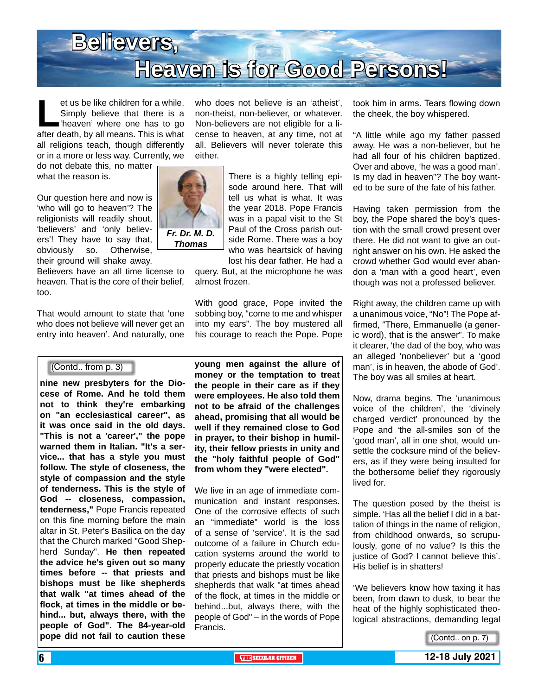

et us be like children for a while.<br>
Simply believe that there is a<br>
"heaven' where one has to go<br>
after death, by all means. This is what Simply believe that there is a 'heaven' where one has to go all religions teach, though differently or in a more or less way. Currently, we

do not debate this, no matter what the reason is.

Our question here and now is 'who will go to heaven'? The religionists will readily shout, 'believers' and 'only believers'! They have to say that, obviously so. Otherwise, their ground will shake away.

Believers have an all time license to heaven. That is the core of their belief, too.

That would amount to state that 'one who does not believe will never get an entry into heaven'. And naturally, one

(Contd.. from p. 3)

**nine new presbyters for the Diocese of Rome. And he told them not to think they're embarking on "an ecclesiastical career", as it was once said in the old days. "This is not a 'career'," the pope warned them in Italian. "It's a service... that has a style you must follow. The style of closeness, the style of compassion and the style of tenderness. This is the style of God -- closeness, compassion, tenderness,"** Pope Francis repeated on this fine morning before the main altar in St. Peter's Basilica on the day that the Church marked "Good Shepherd Sunday". **He then repeated the advice he's given out so many times before -- that priests and bishops must be like shepherds that walk "at times ahead of the flock, at times in the middle or behind... but, always there, with the people of God". The 84-year-old pope did not fail to caution these** 

who does not believe is an 'atheist', non-theist, non-believer, or whatever. Non-believers are not eligible for a license to heaven, at any time, not at all. Believers will never tolerate this either.



There is a highly telling episode around here. That will tell us what is what. It was the year 2018. Pope Francis was in a papal visit to the St Paul of the Cross parish outside Rome. There was a boy who was heartsick of having lost his dear father. He had a

query. But, at the microphone he was almost frozen.

With good grace, Pope invited the sobbing boy, "come to me and whisper into my ears". The boy mustered all his courage to reach the Pope. Pope

**young men against the allure of money or the temptation to treat the people in their care as if they were employees. He also told them not to be afraid of the challenges ahead, promising that all would be well if they remained close to God in prayer, to their bishop in humility, their fellow priests in unity and the "holy faithful people of God" from whom they "were elected".**

We live in an age of immediate communication and instant responses. One of the corrosive effects of such an "immediate" world is the loss of a sense of 'service'. It is the sad outcome of a failure in Church education systems around the world to properly educate the priestly vocation that priests and bishops must be like shepherds that walk "at times ahead of the flock, at times in the middle or behind...but, always there, with the people of God" – in the words of Pope Francis.

took him in arms. Tears flowing down the cheek, the boy whispered.

"A little while ago my father passed away. He was a non-believer, but he had all four of his children baptized. Over and above, 'he was a good man'. Is my dad in heaven"? The boy wanted to be sure of the fate of his father.

Having taken permission from the boy, the Pope shared the boy's question with the small crowd present over there. He did not want to give an outright answer on his own. He asked the crowd whether God would ever abandon a 'man with a good heart', even though was not a professed believer.

Right away, the children came up with a unanimous voice, "No"! The Pope affirmed, "There, Emmanuelle (a generic word), that is the answer". To make it clearer, 'the dad of the boy, who was an alleged 'nonbeliever' but a 'good man', is in heaven, the abode of God'. The boy was all smiles at heart.

Now, drama begins. The 'unanimous voice of the children', the 'divinely charged verdict' pronounced by the Pope and 'the all-smiles son of the 'good man', all in one shot, would unsettle the cocksure mind of the believers, as if they were being insulted for the bothersome belief they rigorously lived for.

The question posed by the theist is simple. 'Has all the belief I did in a battalion of things in the name of religion, from childhood onwards, so scrupulously, gone of no value? Is this the justice of God? I cannot believe this'. His belief is in shatters!

'We believers know how taxing it has been, from dawn to dusk, to bear the heat of the highly sophisticated theological abstractions, demanding legal

(Contd.. on p. 7)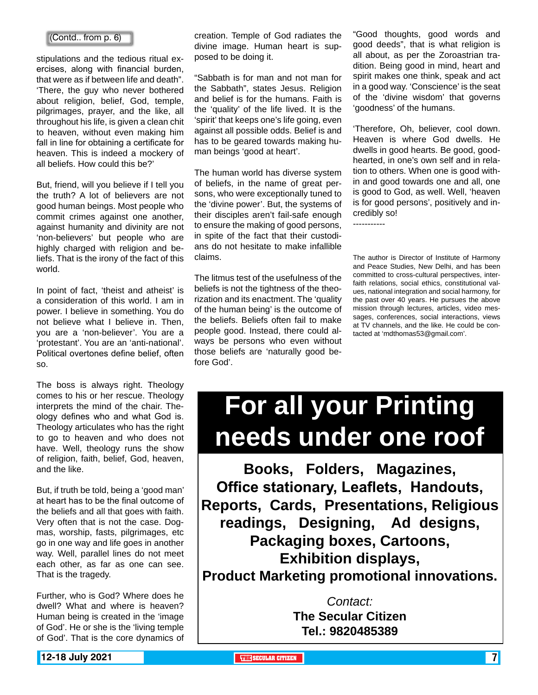#### (Contd.. from p. 6)

stipulations and the tedious ritual exercises, along with financial burden, that were as if between life and death". 'There, the guy who never bothered about religion, belief, God, temple, pilgrimages, prayer, and the like, all throughout his life, is given a clean chit to heaven, without even making him fall in line for obtaining a certificate for heaven. This is indeed a mockery of all beliefs. How could this be?'

But, friend, will you believe if I tell you the truth? A lot of believers are not good human beings. Most people who commit crimes against one another, against humanity and divinity are not 'non-believers' but people who are highly charged with religion and beliefs. That is the irony of the fact of this world.

In point of fact, 'theist and atheist' is a consideration of this world. I am in power. I believe in something. You do not believe what I believe in. Then, you are a 'non-believer'. You are a 'protestant'. You are an 'anti-national'. Political overtones define belief, often so.

The boss is always right. Theology comes to his or her rescue. Theology interprets the mind of the chair. Theology defines who and what God is. Theology articulates who has the right to go to heaven and who does not have. Well, theology runs the show of religion, faith, belief, God, heaven, and the like.

But, if truth be told, being a 'good man' at heart has to be the final outcome of the beliefs and all that goes with faith. Very often that is not the case. Dogmas, worship, fasts, pilgrimages, etc go in one way and life goes in another way. Well, parallel lines do not meet each other, as far as one can see. That is the tragedy.

Further, who is God? Where does he dwell? What and where is heaven? Human being is created in the 'image of God'. He or she is the 'living temple of God'. That is the core dynamics of creation. Temple of God radiates the divine image. Human heart is supposed to be doing it.

"Sabbath is for man and not man for the Sabbath", states Jesus. Religion and belief is for the humans. Faith is the 'quality' of the life lived. It is the 'spirit' that keeps one's life going, even against all possible odds. Belief is and has to be geared towards making human beings 'good at heart'.

The human world has diverse system of beliefs, in the name of great persons, who were exceptionally tuned to the 'divine power'. But, the systems of their disciples aren't fail-safe enough to ensure the making of good persons, in spite of the fact that their custodians do not hesitate to make infallible claims.

The litmus test of the usefulness of the beliefs is not the tightness of the theorization and its enactment. The 'quality of the human being' is the outcome of the beliefs. Beliefs often fail to make people good. Instead, there could always be persons who even without those beliefs are 'naturally good before God'.

"Good thoughts, good words and good deeds", that is what religion is all about, as per the Zoroastrian tradition. Being good in mind, heart and spirit makes one think, speak and act in a good way. 'Conscience' is the seat of the 'divine wisdom' that governs 'goodness' of the humans.

'Therefore, Oh, believer, cool down. Heaven is where God dwells. He dwells in good hearts. Be good, goodhearted, in one's own self and in relation to others. When one is good within and good towards one and all, one is good to God, as well. Well, 'heaven is for good persons', positively and incredibly so!

The author is Director of Institute of Harmony and Peace Studies, New Delhi, and has been committed to cross-cultural perspectives, interfaith relations, social ethics, constitutional values, national integration and social harmony, for the past over 40 years. He pursues the above mission through lectures, articles, video messages, conferences, social interactions, views at TV channels, and the like. He could be contacted at 'mdthomas53@gmail.com'.

# **For all your Printing needs under one roof**

-----------

**Books, Folders, Magazines, Office stationary, Leaflets, Handouts, Reports, Cards, Presentations, Religious readings, Designing, Ad designs, Packaging boxes, Cartoons, Exhibition displays, Product Marketing promotional innovations.**

> *Contact:* **The Secular Citizen Tel.: 9820485389**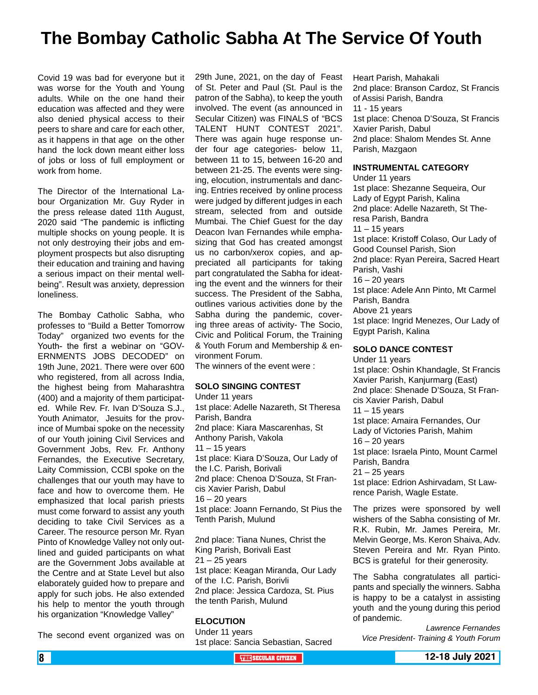## **The Bombay Catholic Sabha At The Service Of Youth**

Covid 19 was bad for everyone but it was worse for the Youth and Young adults. While on the one hand their education was affected and they were also denied physical access to their peers to share and care for each other, as it happens in that age on the other hand the lock down meant either loss of jobs or loss of full employment or work from home.

The Director of the International Labour Organization Mr. Guy Ryder in the press release dated 11th August, 2020 said "The pandemic is inflicting multiple shocks on young people. It is not only destroying their jobs and employment prospects but also disrupting their education and training and having a serious impact on their mental wellbeing". Result was anxiety, depression loneliness.

The Bombay Catholic Sabha, who professes to "Build a Better Tomorrow Today" organized two events for the Youth- the first a webinar on "GOV-ERNMENTS JOBS DECODED" on 19th June, 2021. There were over 600 who registered, from all across India, the highest being from Maharashtra (400) and a majority of them participated. While Rev. Fr. Ivan D'Souza S.J., Youth Animator, Jesuits for the province of Mumbai spoke on the necessity of our Youth joining Civil Services and Government Jobs, Rev. Fr. Anthony Fernandes, the Executive Secretary, Laity Commission, CCBI spoke on the challenges that our youth may have to face and how to overcome them. He emphasized that local parish priests must come forward to assist any youth deciding to take Civil Services as a Career. The resource person Mr. Ryan Pinto of Knowledge Valley not only outlined and guided participants on what are the Government Jobs available at the Centre and at State Level but also elaborately guided how to prepare and apply for such jobs. He also extended his help to mentor the youth through his organization "Knowledge Valley"

The second event organized was on

29th June, 2021, on the day of Feast of St. Peter and Paul (St. Paul is the patron of the Sabha), to keep the youth involved. The event (as announced in Secular Citizen) was FINALS of "BCS TALENT HUNT CONTEST 2021". There was again huge response under four age categories- below 11, between 11 to 15, between 16-20 and between 21-25. The events were singing, elocution, instrumentals and dancing. Entries received by online process were judged by different judges in each stream, selected from and outside Mumbai. The Chief Guest for the day Deacon Ivan Fernandes while emphasizing that God has created amongst us no carbon/xerox copies, and appreciated all participants for taking part congratulated the Sabha for ideating the event and the winners for their success. The President of the Sabha, outlines various activities done by the Sabha during the pandemic, covering three areas of activity- The Socio, Civic and Political Forum, the Training & Youth Forum and Membership & environment Forum.

The winners of the event were :

#### **SOLO SINGING CONTEST**

Under 11 years 1st place: Adelle Nazareth, St Theresa Parish, Bandra 2nd place: Kiara Mascarenhas, St Anthony Parish, Vakola  $11 - 15$  years 1st place: Kiara D'Souza, Our Lady of the I.C. Parish, Borivali 2nd place: Chenoa D'Souza, St Francis Xavier Parish, Dabul  $16 - 20$  years 1st place: Joann Fernando, St Pius the Tenth Parish, Mulund

2nd place: Tiana Nunes, Christ the King Parish, Borivali East 21 – 25 years 1st place: Keagan Miranda, Our Lady of the I.C. Parish, Borivli 2nd place: Jessica Cardoza, St. Pius the tenth Parish, Mulund

#### **ELOCUTION**

Under 11 years 1st place: Sancia Sebastian, Sacred Heart Parish, Mahakali 2nd place: Branson Cardoz, St Francis of Assisi Parish, Bandra 11 - 15 years 1st place: Chenoa D'Souza, St Francis Xavier Parish, Dabul 2nd place: Shalom Mendes St. Anne Parish, Mazgaon

#### **INSTRUMENTAL CATEGORY**

Under 11 years 1st place: Shezanne Sequeira, Our Lady of Egypt Parish, Kalina 2nd place: Adelle Nazareth, St Theresa Parish, Bandra  $11 - 15$  years 1st place: Kristoff Colaso, Our Lady of Good Counsel Parish, Sion 2nd place: Ryan Pereira, Sacred Heart Parish, Vashi  $16 - 20$  years 1st place: Adele Ann Pinto, Mt Carmel Parish, Bandra Above 21 years 1st place: Ingrid Menezes, Our Lady of Egypt Parish, Kalina

#### **SOLO DANCE CONTEST**

Under 11 years 1st place: Oshin Khandagle, St Francis Xavier Parish, Kanjurmarg (East) 2nd place: Shenade D'Souza, St Francis Xavier Parish, Dabul  $11 - 15$  years 1st place: Amaira Fernandes, Our Lady of Victories Parish, Mahim  $16 - 20$  years 1st place: Israela Pinto, Mount Carmel Parish, Bandra 21 – 25 years 1st place: Edrion Ashirvadam, St Lawrence Parish, Wagle Estate.

The prizes were sponsored by well wishers of the Sabha consisting of Mr. R.K. Rubin, Mr. James Pereira, Mr. Melvin George, Ms. Keron Shaiva, Adv. Steven Pereira and Mr. Ryan Pinto. BCS is grateful for their generosity.

The Sabha congratulates all participants and specially the winners. Sabha is happy to be a catalyst in assisting youth and the young during this period of pandemic.

*Lawrence Fernandes Vice President- Training & Youth Forum*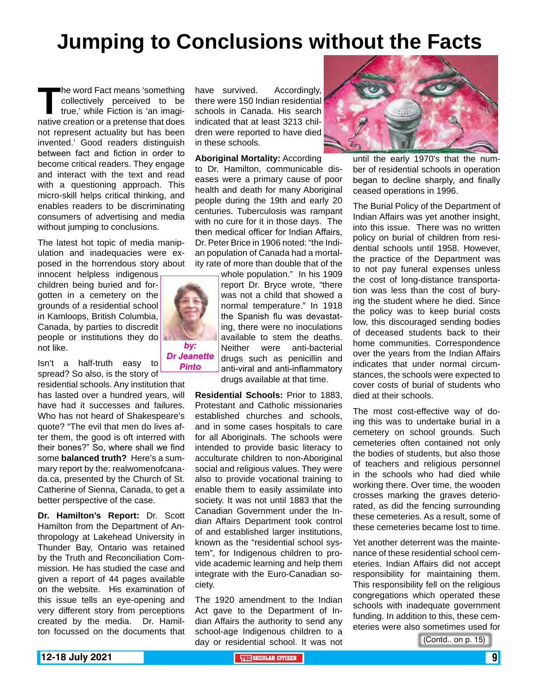# **Jumping to Conclusions without the Facts**

The word Fact means 'something<br>
collectively perceived to be<br>
true,' while Fiction is 'an imagi-<br>
native creation or a pretense that does collectively perceived to be true,' while Fiction is 'an imaginative creation or a pretense that does not represent actuality but has been invented.' Good readers distinguish between fact and fiction in order to become critical readers. They engage and interact with the text and read with a questioning approach. This micro-skill helps critical thinking, and enables readers to be discriminating consumers of advertising and media without jumping to conclusions.

The latest hot topic of media manipulation and inadequacies were exposed in the horrendous story about

innocent helpless indigenous children being buried and forgotten in a cemetery on the grounds of a residential school in Kamloops, British Columbia, Canada, by parties to discredit people or institutions they do not like.

Isn't a half-truth easy to spread? So also, is the story of

residential schools. Any institution that has lasted over a hundred years, will have had it successes and failures. Who has not heard of Shakespeare's quote? "The evil that men do lives after them, the good is oft interred with their bones?" So, where shall we find some **balanced truth?** Here's a summary report by the: realwomenofcanada.ca, presented by the Church of St. Catherine of Sienna, Canada, to get a better perspective of the case.

**Dr. Hamilton's Report:** Dr. Scott Hamilton from the Department of Anthropology at Lakehead University in Thunder Bay, Ontario was retained by the Truth and Reconciliation Commission. He has studied the case and given a report of 44 pages available on the website. His examination of this issue tells an eye-opening and very different story from perceptions created by the media. Dr. Hamilton focussed on the documents that

have survived. Accordingly, there were 150 Indian residential schools in Canada. His search indicated that at least 3213 children were reported to have died in these schools.

#### **Aboriginal Mortality:** According

to Dr. Hamilton, communicable diseases were a primary cause of poor health and death for many Aboriginal people during the 19th and early 20 centuries. Tuberculosis was rampant with no cure for it in those days. The then medical officer for Indian Affairs, Dr. Peter Brice in 1906 noted: "the Indian population of Canada had a mortality rate of more than double that of the

whole population." In his 1909 report Dr. Bryce wrote, "there was not a child that showed a normal temperature." In 1918 the Spanish flu was devastating, there were no inoculations available to stem the deaths. Neither were anti-bacterial drugs such as penicillin and anti-viral and anti-inflammatory drugs available at that time.

**Residential Schools:** Prior to 1883, Protestant and Catholic missionaries established churches and schools, and in some cases hospitals to care for all Aboriginals. The schools were intended to provide basic literacy to acculturate children to non-Aboriginal social and religious values. They were also to provide vocational training to enable them to easily assimilate into society. It was not until 1883 that the Canadian Government under the Indian Affairs Department took control of and established larger institutions, known as the "residential school system", for Indigenous children to provide academic learning and help them integrate with the Euro-Canadian society.

The 1920 amendment to the Indian Act gave to the Department of Indian Affairs the authority to send any school-age Indigenous children to a day or residential school. It was not



until the early 1970's that the number of residential schools in operation began to decline sharply, and finally ceased operations in 1996.

The Burial Policy of the Department of Indian Affairs was yet another insight, into this issue. There was no written policy on burial of children from residential schools until 1958. However, the practice of the Department was to not pay funeral expenses unless the cost of long-distance transportation was less than the cost of burying the student where he died. Since the policy was to keep burial costs low, this discouraged sending bodies of deceased students back to their home communities. Correspondence over the years from the Indian Affairs indicates that under normal circumstances, the schools were expected to cover costs of burial of students who died at their schools.

The most cost-effective way of doing this was to undertake burial in a cemetery on school grounds. Such cemeteries often contained not only the bodies of students, but also those of teachers and religious personnel in the schools who had died while working there. Over time, the wooden crosses marking the graves deteriorated, as did the fencing surrounding these cemeteries. As a result, some of these cemeteries became lost to time.

Yet another deterrent was the maintenance of these residential school cemeteries. Indian Affairs did not accept responsibility for maintaining them. This responsibility fell on the religious congregations which operated these schools with inadequate government funding. In addition to this, these cemeteries were also sometimes used for

(Contd.. on p. 15)



*Dr Jeanette Pinto*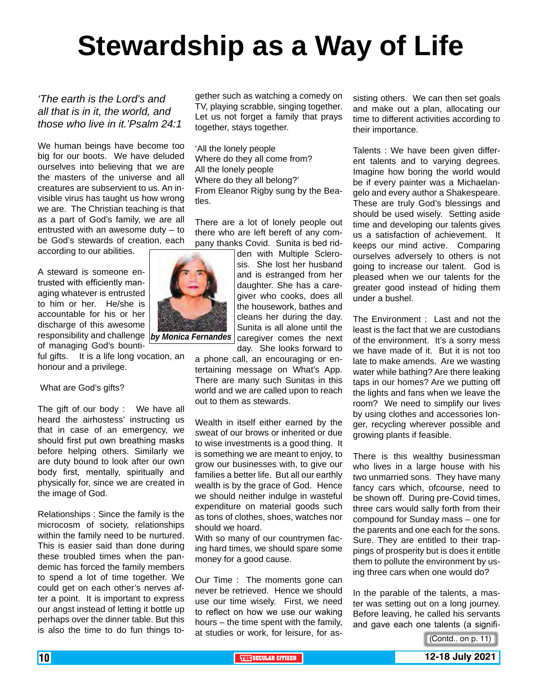# **Stewardship as a Way of Life**

#### *'The earth is the Lord's and all that is in it, the world, and those who live in it.'Psalm 24:1*

We human beings have become too big for our boots. We have deluded ourselves into believing that we are the masters of the universe and all creatures are subservient to us. An invisible virus has taught us how wrong we are. The Christian teaching is that as a part of God's family, we are all entrusted with an awesome duty – to be God's stewards of creation, each

according to our abilities.

A steward is someone entrusted with efficiently managing whatever is entrusted to him or her. He/she is accountable for his or her discharge of this awesome responsibility and challenge *by Monica Fernandes* of managing God's bounti-

ful gifts. It is a life long vocation, an honour and a privilege.

#### What are God's gifts?

The gift of our body : We have all heard the airhostess' instructing us that in case of an emergency, we should first put own breathing masks before helping others. Similarly we are duty bound to look after our own body first, mentally, spiritually and physically for, since we are created in the image of God.

Relationships : Since the family is the microcosm of society, relationships within the family need to be nurtured. This is easier said than done during these troubled times when the pandemic has forced the family members to spend a lot of time together. We could get on each other's nerves after a point. It is important to express our angst instead of letting it bottle up perhaps over the dinner table. But this is also the time to do fun things together such as watching a comedy on TV, playing scrabble, singing together. Let us not forget a family that prays together, stays together.

'All the lonely people Where do they all come from? All the lonely people Where do they all belong?' From Eleanor Rigby sung by the Beatles.

There are a lot of lonely people out there who are left bereft of any company thanks Covid. Sunita is bed rid-

> den with Multiple Sclerosis. She lost her husband and is estranged from her daughter. She has a caregiver who cooks, does all the housework, bathes and cleans her during the day. Sunita is all alone until the caregiver comes the next

day. She looks forward to a phone call, an encouraging or entertaining message on What's App. There are many such Sunitas in this world and we are called upon to reach out to them as stewards.

Wealth in itself either earned by the sweat of our brows or inherited or due to wise investments is a good thing. It is something we are meant to enjoy, to grow our businesses with, to give our families a better life. But all our earthly wealth is by the grace of God. Hence we should neither indulge in wasteful expenditure on material goods such as tons of clothes, shoes, watches nor should we hoard.

With so many of our countrymen facing hard times, we should spare some money for a good cause.

Our Time : The moments gone can never be retrieved. Hence we should use our time wisely. First, we need to reflect on how we use our waking hours – the time spent with the family, at studies or work, for leisure, for as-

sisting others. We can then set goals and make out a plan, allocating our time to different activities according to their importance.

Talents : We have been given different talents and to varying degrees. Imagine how boring the world would be if every painter was a Michaelangelo and every author a Shakespeare. These are truly God's blessings and should be used wisely. Setting aside time and developing our talents gives us a satisfaction of achievement. It keeps our mind active. Comparing ourselves adversely to others is not going to increase our talent. God is pleased when we our talents for the greater good instead of hiding them under a bushel.

The Environment : Last and not the least is the fact that we are custodians of the environment. It's a sorry mess we have made of it. But it is not too late to make amends. Are we wasting water while bathing? Are there leaking taps in our homes? Are we putting off the lights and fans when we leave the room? We need to simplify our lives by using clothes and accessories longer, recycling wherever possible and growing plants if feasible.

There is this wealthy businessman who lives in a large house with his two unmarried sons. They have many fancy cars which, ofcourse, need to be shown off. During pre-Covid times, three cars would sally forth from their compound for Sunday mass – one for the parents and one each for the sons. Sure. They are entitled to their trappings of prosperity but is does it entitle them to pollute the environment by using three cars when one would do?

In the parable of the talents, a master was setting out on a long journey. Before leaving, he called his servants and gave each one talents (a signifi-

(Contd.. on p. 11)

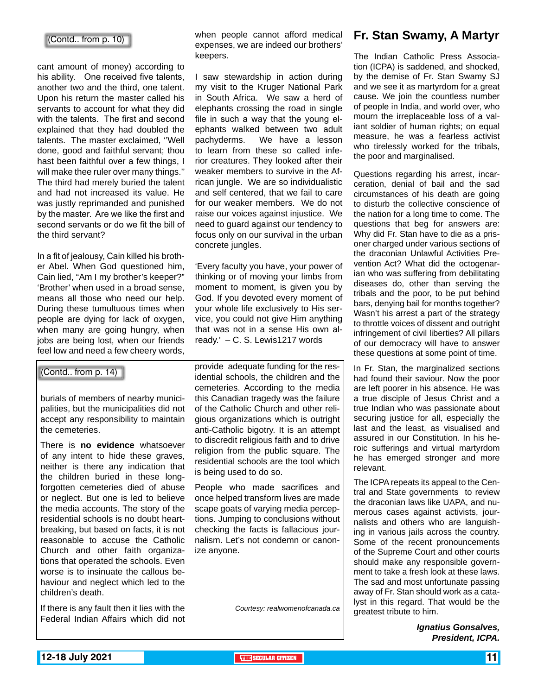#### (Contd.. from p. 10)

cant amount of money) according to his ability. One received five talents, another two and the third, one talent. Upon his return the master called his servants to account for what they did with the talents. The first and second explained that they had doubled the talents. The master exclaimed, ''Well done, good and faithful servant; thou hast been faithful over a few things, I will make thee ruler over many things.'' The third had merely buried the talent and had not increased its value. He was justly reprimanded and punished by the master. Are we like the first and second servants or do we fit the bill of the third servant?

In a fit of jealousy, Cain killed his brother Abel. When God questioned him, Cain lied, "Am I my brother's keeper?" 'Brother' when used in a broad sense, means all those who need our help. During these tumultuous times when people are dying for lack of oxygen, when many are going hungry, when jobs are being lost, when our friends feel low and need a few cheery words,

burials of members of nearby municipalities, but the municipalities did not accept any responsibility to maintain the cemeteries.

There is **no evidence** whatsoever of any intent to hide these graves, neither is there any indication that the children buried in these longforgotten cemeteries died of abuse or neglect. But one is led to believe the media accounts. The story of the residential schools is no doubt heartbreaking, but based on facts, it is not reasonable to accuse the Catholic Church and other faith organizations that operated the schools. Even worse is to insinuate the callous behaviour and neglect which led to the children's death.

If there is any fault then it lies with the Federal Indian Affairs which did not when people cannot afford medical expenses, we are indeed our brothers' keepers.

I saw stewardship in action during my visit to the Kruger National Park in South Africa. We saw a herd of elephants crossing the road in single file in such a way that the young elephants walked between two adult pachyderms. We have a lesson to learn from these so called inferior creatures. They looked after their weaker members to survive in the African jungle. We are so individualistic and self centered, that we fail to care for our weaker members. We do not raise our voices against injustice. We need to guard against our tendency to focus only on our survival in the urban concrete jungles.

'Every faculty you have, your power of thinking or of moving your limbs from moment to moment, is given you by God. If you devoted every moment of your whole life exclusively to His service, you could not give Him anything that was not in a sense His own already.' – C. S. Lewis1217 words

(Contd.. from p. 14) provide adequate funding for the residential schools, the children and the cemeteries. According to the media this Canadian tragedy was the failure of the Catholic Church and other religious organizations which is outright anti-Catholic bigotry. It is an attempt to discredit religious faith and to drive religion from the public square. The residential schools are the tool which is being used to do so.

> People who made sacrifices and once helped transform lives are made scape goats of varying media perceptions. Jumping to conclusions without checking the facts is fallacious journalism. Let's not condemn or canonize anyone.

> > *Courtesy: realwomenofcanada.ca*

#### **Fr. Stan Swamy, A Martyr**

The Indian Catholic Press Association (ICPA) is saddened, and shocked, by the demise of Fr. Stan Swamy SJ and we see it as martyrdom for a great cause. We join the countless number of people in India, and world over, who mourn the irreplaceable loss of a valiant soldier of human rights; on equal measure, he was a fearless activist who tirelessly worked for the tribals, the poor and marginalised.

Questions regarding his arrest, incarceration, denial of bail and the sad circumstances of his death are going to disturb the collective conscience of the nation for a long time to come. The questions that beg for answers are: Why did Fr. Stan have to die as a prisoner charged under various sections of the draconian Unlawful Activities Prevention Act? What did the octogenarian who was suffering from debilitating diseases do, other than serving the tribals and the poor, to be put behind bars, denying bail for months together? Wasn't his arrest a part of the strategy to throttle voices of dissent and outright infringement of civil liberties? All pillars of our democracy will have to answer these questions at some point of time.

In Fr. Stan, the marginalized sections had found their saviour. Now the poor are left poorer in his absence. He was a true disciple of Jesus Christ and a true Indian who was passionate about securing justice for all, especially the last and the least, as visualised and assured in our Constitution. In his heroic sufferings and virtual martyrdom he has emerged stronger and more relevant.

The ICPA repeats its appeal to the Central and State governments to review the draconian laws like UAPA, and numerous cases against activists, journalists and others who are languishing in various jails across the country. Some of the recent pronouncements of the Supreme Court and other courts should make any responsible government to take a fresh look at these laws. The sad and most unfortunate passing away of Fr. Stan should work as a catalyst in this regard. That would be the greatest tribute to him.

> *Ignatius Gonsalves, President, ICPA.*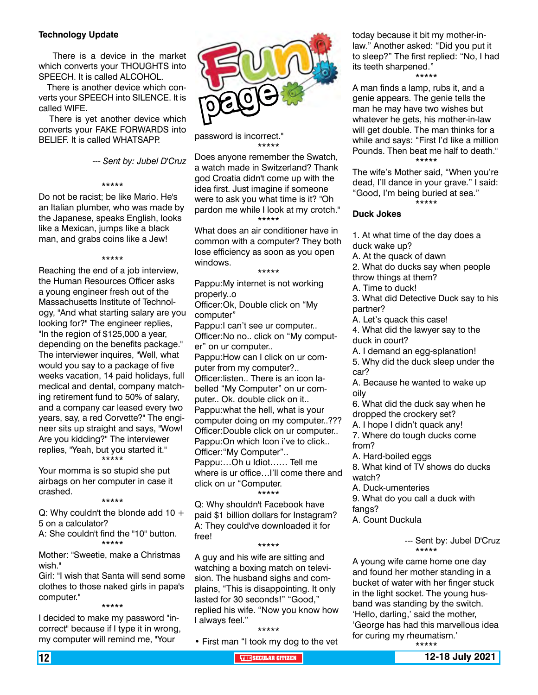#### **Technology Update**

 There is a device in the market which converts your THOUGHTS into SPEECH. It is called ALCOHOL.

 There is another device which converts your SPEECH into SILENCE. It is called WIFE.

 There is yet another device which converts your FAKE FORWARDS into BELIEF. It is called WHATSAPP.

#### *--- Sent by: Jubel D'Cruz*

#### \*\*\*\*\*

Do not be racist; be like Mario. He's an Italian plumber, who was made by the Japanese, speaks English, looks like a Mexican, jumps like a black man, and grabs coins like a Jew!

#### \*\*\*\*\*

Reaching the end of a job interview, the Human Resources Officer asks a young engineer fresh out of the Massachusetts Institute of Technology, "And what starting salary are you looking for?" The engineer replies, "In the region of \$125,000 a year, depending on the benefits package." The interviewer inquires, "Well, what would you say to a package of five weeks vacation, 14 paid holidays, full medical and dental, company matching retirement fund to 50% of salary, and a company car leased every two years, say, a red Corvette?" The engineer sits up straight and says, "Wow! Are you kidding?" The interviewer replies, "Yeah, but you started it." \*\*\*\*\*

Your momma is so stupid she put airbags on her computer in case it crashed.

#### \*\*\*\*\*

Q: Why couldn't the blonde add  $10 +$ 5 on a calculator?

A: She couldn't find the "10" button. \*\*\*\*\*

Mother: "Sweetie, make a Christmas wish."

Girl: "I wish that Santa will send some clothes to those naked girls in papa's computer." \*\*\*\*\*

I decided to make my password "incorrect" because if I type it in wrong, my computer will remind me, "Your



password is incorrect." \*\*\*\*\*

Does anyone remember the Swatch, a watch made in Switzerland? Thank god Croatia didn't come up with the idea first. Just imagine if someone were to ask you what time is it? "Oh pardon me while I look at my crotch." \*\*\*\*\*

What does an air conditioner have in common with a computer? They both lose efficiency as soon as you open windows.

\*\*\*\*\* Pappu:My internet is not working properly..o Officer:Ok, Double click on "My computer" Pappu:I can't see ur computer.. Officer:No no.. click on "My computer" on ur computer.. Pappu:How can I click on ur computer from my computer?.. Officer:listen.. There is an icon labelled "My Computer" on ur computer.. Ok. double click on it.. Pappu:what the hell, what is your computer doing on my computer..???

Officer:Double click on ur computer.. Pappu:On which Icon i've to click.. Officer:"My Computer".. Pappu:…Oh u Idiot…… Tell me where is ur office...I'll come there and click on ur "Computer. \*\*\*\*\*

Q: Why shouldn't Facebook have paid \$1 billion dollars for Instagram? A: They could've downloaded it for free!

\*\*\*\*\*

A guy and his wife are sitting and watching a boxing match on television. The husband sighs and complains, "This is disappointing. It only lasted for 30 seconds!" "Good," replied his wife. "Now you know how I always feel."

#### \*\*\*\*\*

• First man "I took my dog to the vet

today because it bit my mother-inlaw." Another asked: "Did you put it to sleep?" The first replied: "No, I had its teeth sharpened." \*\*\*\*\*

A man finds a lamp, rubs it, and a genie appears. The genie tells the man he may have two wishes but whatever he gets, his mother-in-law will get double. The man thinks for a while and says: "First I'd like a million Pounds. Then beat me half to death." \*\*\*\*\*

The wife's Mother said, "When you're dead, I'll dance in your grave." I said: "Good, I'm being buried at sea." \*\*\*\*\*

#### **Duck Jokes**

1. At what time of the day does a duck wake up? A. At the quack of dawn 2. What do ducks say when people throw things at them? A. Time to duck! 3. What did Detective Duck say to his partner? A. Let's quack this case! 4. What did the lawyer say to the duck in court? A. I demand an egg-splanation!

5. Why did the duck sleep under the car?

A. Because he wanted to wake up oily

6. What did the duck say when he dropped the crockery set?

A. I hope I didn't quack any!

7. Where do tough ducks come from?

A. Hard-boiled eggs

8. What kind of TV shows do ducks watch?

A. Duck-umenteries

9. What do you call a duck with fangs?

A. Count Duckula

--- Sent by: Jubel D'Cruz \*\*\*\*\*

A young wife came home one day and found her mother standing in a bucket of water with her finger stuck in the light socket. The young husband was standing by the switch. 'Hello, darling,' said the mother, 'George has had this marvellous idea for curing my rheumatism.' \*\*\*\*\*

**12** THE SECULAR CITIZEN **THE SECULAR CITIZEN 12-18 JULY 2021**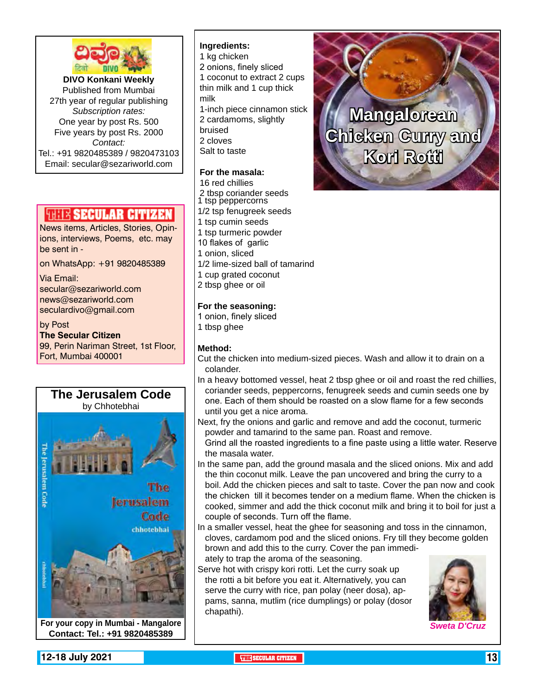

**DIVO Konkani Weekly** Published from Mumbai 27th year of regular publishing *Subscription rates:* One year by post Rs. 500 Five years by post Rs. 2000 *Contact:*  Tel.: +91 9820485389 / 9820473103 Email: secular@sezariworld.com

#### *SHITE SECULAR CITIZEN*

News items, Articles, Stories, Opinions, interviews, Poems, etc. may be sent in -

on WhatsApp: +91 9820485389

Via Email: secular@sezariworld.com news@sezariworld.com seculardivo@gmail.com

by Post **The Secular Citizen** 99, Perin Nariman Street, 1st Floor, Fort, Mumbai 400001



#### **Ingredients:**

1 kg chicken 2 onions, finely sliced 1 coconut to extract 2 cups thin milk and 1 cup thick milk 1-inch piece cinnamon stick

2 cardamoms, slightly bruised 2 cloves Salt to taste

#### **For the masala:**

1 tsp peppercorns 1/2 tsp fenugreek seeds 1 tsp cumin seeds 1 tsp turmeric powder 16 red chillies 2 tbsp coriander seeds

- 10 flakes of garlic
- 1 onion, sliced
- 
- 1/2 lime-sized ball of tamarind 1 cup grated coconut
- 2 tbsp ghee or oil

#### **For the seasoning:**

1 onion, finely sliced 1 tbsp ghee

#### **Method:**

Cut the chicken into medium-sized pieces. Wash and allow it to drain on a colander.

**Mangalorean** 

**Chicken Curry and** 

**Kori Rotti**

- In a heavy bottomed vessel, heat 2 tbsp ghee or oil and roast the red chillies, coriander seeds, peppercorns, fenugreek seeds and cumin seeds one by one. Each of them should be roasted on a slow flame for a few seconds until you get a nice aroma.
- Next, fry the onions and garlic and remove and add the coconut, turmeric powder and tamarind to the same pan. Roast and remove.
	- Grind all the roasted ingredients to a fine paste using a little water. Reserve the masala water.
- In the same pan, add the ground masala and the sliced onions. Mix and add the thin coconut milk. Leave the pan uncovered and bring the curry to a boil. Add the chicken pieces and salt to taste. Cover the pan now and cook the chicken till it becomes tender on a medium flame. When the chicken is cooked, simmer and add the thick coconut milk and bring it to boil for just a couple of seconds. Turn off the flame.
- In a smaller vessel, heat the ghee for seasoning and toss in the cinnamon, cloves, cardamom pod and the sliced onions. Fry till they become golden brown and add this to the curry. Cover the pan immediately to trap the aroma of the seasoning.
- Serve hot with crispy kori rotti. Let the curry soak up the rotti a bit before you eat it. Alternatively, you can serve the curry with rice, pan polay (neer dosa), appams, sanna, mutlim (rice dumplings) or polay (dosor chapathi).



**12-18 July 2021 THE SECULAR CITIZEN** 13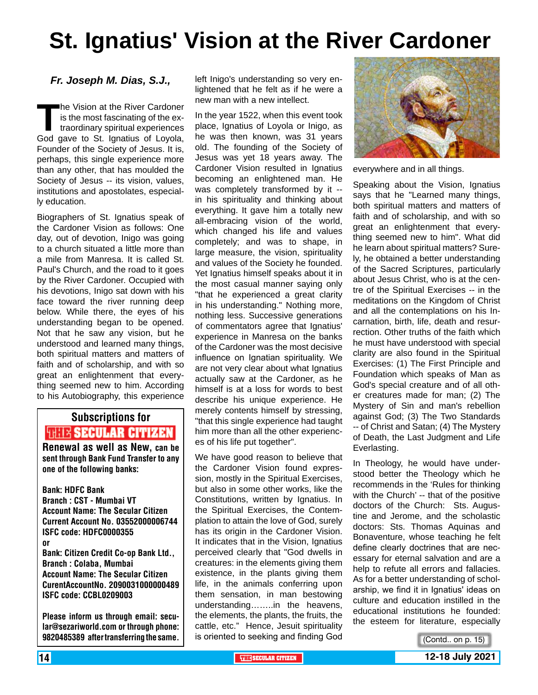# **St. Ignatius' Vision at the River Cardoner**

#### *Fr. Joseph M. Dias, S.J.,*

The Vision at the River Cardoner<br>
is the most fascinating of the ex-<br>
traordinary spiritual experiences<br>
God gave to St. Ignatius of Loyola, is the most fascinating of the extraordinary spiritual experiences Founder of the Society of Jesus. It is, perhaps, this single experience more than any other, that has moulded the Society of Jesus -- its vision, values, institutions and apostolates, especially education.

Biographers of St. Ignatius speak of the Cardoner Vision as follows: One day, out of devotion, Inigo was going to a church situated a little more than a mile from Manresa. It is called St. Paul's Church, and the road to it goes by the River Cardoner. Occupied with his devotions, Inigo sat down with his face toward the river running deep below. While there, the eyes of his understanding began to be opened. Not that he saw any vision, but he understood and learned many things, both spiritual matters and matters of faith and of scholarship, and with so great an enlightenment that everything seemed new to him. According to his Autobiography, this experience

## Subscriptions for **THIE SECULAR CITIZEN**<br>Renewal as well as New, can be

sent through Bank Fund Transfer to any one of the following banks:

Bank: HDFC Bank Branch : CST - Mumbai VT Account Name: The Secular Citizen Current Account No. 03552000006744 ISFC code: HDFC0000355 or Bank: Citizen Credit Co-op Bank Ltd., Branch : Colaba, Mumbai Account Name: The Secular Citizen CurentAccountNo. 2090031000000489 ISFC code: CCBL0209003

Please inform us through email: secular@sezariworld.com or through phone: 9820485389 after transferring the same. left Inigo's understanding so very enlightened that he felt as if he were a new man with a new intellect.

In the year 1522, when this event took place, Ignatius of Loyola or Inigo, as he was then known, was 31 years old. The founding of the Society of Jesus was yet 18 years away. The Cardoner Vision resulted in Ignatius becoming an enlightened man. He was completely transformed by it - in his spirituality and thinking about everything. It gave him a totally new all-embracing vision of the world, which changed his life and values completely; and was to shape, in large measure, the vision, spirituality and values of the Society he founded. Yet Ignatius himself speaks about it in the most casual manner saying only "that he experienced a great clarity in his understanding." Nothing more, nothing less. Successive generations of commentators agree that Ignatius' experience in Manresa on the banks of the Cardoner was the most decisive influence on Ignatian spirituality. We are not very clear about what Ignatius actually saw at the Cardoner, as he himself is at a loss for words to best describe his unique experience. He merely contents himself by stressing, "that this single experience had taught him more than all the other experiences of his life put together".

We have good reason to believe that the Cardoner Vision found expression, mostly in the Spiritual Exercises, but also in some other works, like the Constitutions, written by Ignatius. In the Spiritual Exercises, the Contemplation to attain the love of God, surely has its origin in the Cardoner Vision. It indicates that in the Vision, Ignatius perceived clearly that "God dwells in creatures: in the elements giving them existence, in the plants giving them life, in the animals conferring upon them sensation, in man bestowing understanding……..in the heavens, the elements, the plants, the fruits, the cattle, etc." Hence, Jesuit spirituality is oriented to seeking and finding God



everywhere and in all things.

Speaking about the Vision, Ignatius says that he "Learned many things, both spiritual matters and matters of faith and of scholarship, and with so great an enlightenment that everything seemed new to him". What did he learn about spiritual matters? Surely, he obtained a better understanding of the Sacred Scriptures, particularly about Jesus Christ, who is at the centre of the Spiritual Exercises -- in the meditations on the Kingdom of Christ and all the contemplations on his Incarnation, birth, life, death and resurrection. Other truths of the faith which he must have understood with special clarity are also found in the Spiritual Exercises: (1) The First Principle and Foundation which speaks of Man as God's special creature and of all other creatures made for man; (2) The Mystery of Sin and man's rebellion against God; (3) The Two Standards -- of Christ and Satan; (4) The Mystery of Death, the Last Judgment and Life Everlasting.

In Theology, he would have understood better the Theology which he recommends in the 'Rules for thinking with the Church' -- that of the positive doctors of the Church: Sts. Augustine and Jerome, and the scholastic doctors: Sts. Thomas Aquinas and Bonaventure, whose teaching he felt define clearly doctrines that are necessary for eternal salvation and are a help to refute all errors and fallacies. As for a better understanding of scholarship, we find it in Ignatius' ideas on culture and education instilled in the educational institutions he founded: the esteem for literature, especially

(Contd.. on p. 15)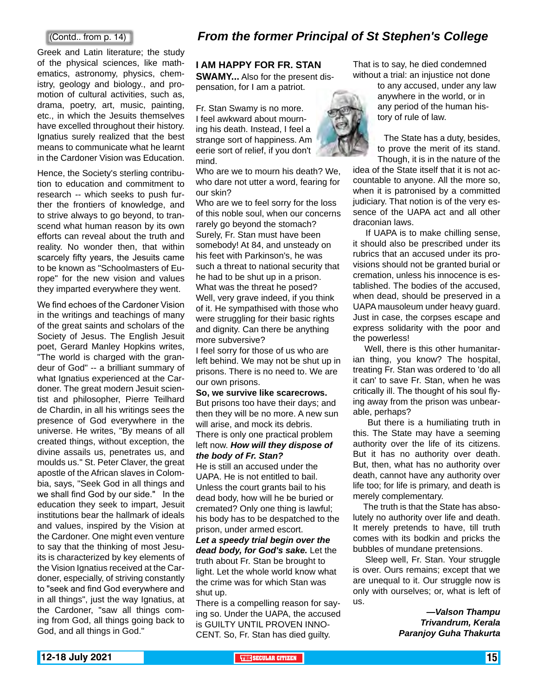#### (Contd.. from p. 14)

Greek and Latin literature; the study of the physical sciences, like mathematics, astronomy, physics, chemistry, geology and biology., and promotion of cultural activities, such as, drama, poetry, art, music, painting, etc., in which the Jesuits themselves have excelled throughout their history. Ignatius surely realized that the best means to communicate what he learnt in the Cardoner Vision was Education.

Hence, the Society's sterling contribution to education and commitment to research -- which seeks to push further the frontiers of knowledge, and to strive always to go beyond, to transcend what human reason by its own efforts can reveal about the truth and reality. No wonder then, that within scarcely fifty years, the Jesuits came to be known as "Schoolmasters of Europe" for the new vision and values they imparted everywhere they went.

We find echoes of the Cardoner Vision in the writings and teachings of many of the great saints and scholars of the Society of Jesus. The English Jesuit poet, Gerard Manley Hopkins writes, "The world is charged with the grandeur of God" -- a brilliant summary of what Ignatius experienced at the Cardoner. The great modern Jesuit scientist and philosopher, Pierre Teilhard de Chardin, in all his writings sees the presence of God everywhere in the universe. He writes, "By means of all created things, without exception, the divine assails us, penetrates us, and moulds us." St. Peter Claver, the great apostle of the African slaves in Colombia, says, "Seek God in all things and we shall find God by our side." In the education they seek to impart, Jesuit institutions bear the hallmark of ideals and values, inspired by the Vision at the Cardoner. One might even venture to say that the thinking of most Jesuits is characterized by key elements of the Vision Ignatius received at the Cardoner, especially, of striving constantly to "seek and find God everywhere and in all things", just the way Ignatius, at the Cardoner, "saw all things coming from God, all things going back to God, and all things in God."

#### *From the former Principal of St Stephen's College*

#### **I AM HAPPY FOR FR. STAN**

**SWAMY...** Also for the present dispensation, for I am a patriot.

Fr. Stan Swamy is no more. I feel awkward about mourning his death. Instead, I feel a strange sort of happiness. Am eerie sort of relief, if you don't mind.

Who are we to mourn his death? We, who dare not utter a word, fearing for our skin?

Who are we to feel sorry for the loss of this noble soul, when our concerns rarely go beyond the stomach? Surely, Fr. Stan must have been somebody! At 84, and unsteady on his feet with Parkinson's, he was such a threat to national security that he had to be shut up in a prison. What was the threat he posed? Well, very grave indeed, if you think of it. He sympathised with those who were struggling for their basic rights and dignity. Can there be anything more subversive?

I feel sorry for those of us who are left behind. We may not be shut up in prisons. There is no need to. We are our own prisons.

#### **So, we survive like scarecrows.**

But prisons too have their days; and then they will be no more. A new sun will arise, and mock its debris. There is only one practical problem left now. *How will they dispose of the body of Fr. Stan?*

He is still an accused under the UAPA. He is not entitled to bail. Unless the court grants bail to his dead body, how will he be buried or cremated? Only one thing is lawful; his body has to be despatched to the prison, under armed escort.

*Let a speedy trial begin over the dead body, for God's sake.* Let the truth about Fr. Stan be brought to light. Let the whole world know what the crime was for which Stan was shut up.

There is a compelling reason for saying so. Under the UAPA, the accused is GUILTY UNTIL PROVEN INNO-CENT. So, Fr. Stan has died guilty.

That is to say, he died condemned without a trial: an injustice not done

> to any accused, under any law anywhere in the world, or in any period of the human history of rule of law.

 The State has a duty, besides, to prove the merit of its stand. Though, it is in the nature of the

idea of the State itself that it is not accountable to anyone. All the more so, when it is patronised by a committed judiciary. That notion is of the very essence of the UAPA act and all other draconian laws.

 If UAPA is to make chilling sense, it should also be prescribed under its rubrics that an accused under its provisions should not be granted burial or cremation, unless his innocence is established. The bodies of the accused, when dead, should be preserved in a UAPA mausoleum under heavy guard. Just in case, the corpses escape and express solidarity with the poor and the powerless!

 Well, there is this other humanitarian thing, you know? The hospital, treating Fr. Stan was ordered to 'do all it can' to save Fr. Stan, when he was critically ill. The thought of his soul flying away from the prison was unbearable, perhaps?

 But there is a humiliating truth in this. The State may have a seeming authority over the life of its citizens. But it has no authority over death. But, then, what has no authority over death, cannot have any authority over life too; for life is primary, and death is merely complementary.

 The truth is that the State has absolutely no authority over life and death. It merely pretends to have, till truth comes with its bodkin and pricks the bubbles of mundane pretensions.

 Sleep well, Fr. Stan. Your struggle is over. Ours remains; except that we are unequal to it. Our struggle now is only with ourselves; or, what is left of us.

> *—Valson Thampu Trivandrum, Kerala Paranjoy Guha Thakurta*

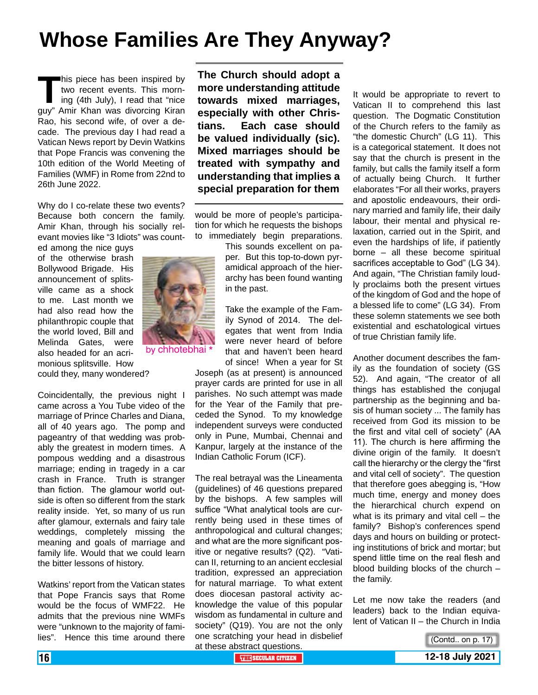# **Whose Families Are They Anyway?**

**This piece has been inspired by two recent events. This morning (4th July), I read that "nice guy" Amir Khan was divorcing Kiran** two recent events. This morning (4th July), I read that "nice Rao, his second wife, of over a decade. The previous day I had read a Vatican News report by Devin Watkins that Pope Francis was convening the 10th edition of the World Meeting of Families (WMF) in Rome from 22nd to 26th June 2022.

Why do I co-relate these two events? Because both concern the family. Amir Khan, through his socially relevant movies like "3 Idiots" was count-

ed among the nice guys of the otherwise brash Bollywood Brigade. His announcement of splitsville came as a shock to me. Last month we had also read how the philanthropic couple that the world loved, Bill and Melinda Gates, were also headed for an acrimonious splitsville. How could they, many wondered?

by chhotebhai \*

Coincidentally, the previous night I came across a You Tube video of the marriage of Prince Charles and Diana, all of 40 years ago. The pomp and pageantry of that wedding was probably the greatest in modern times. A pompous wedding and a disastrous marriage; ending in tragedy in a car crash in France. Truth is stranger than fiction. The glamour world outside is often so different from the stark reality inside. Yet, so many of us run after glamour, externals and fairy tale weddings, completely missing the meaning and goals of marriage and family life. Would that we could learn the bitter lessons of history.

Watkins' report from the Vatican states that Pope Francis says that Rome would be the focus of WMF22. He admits that the previous nine WMFs were "unknown to the majority of families". Hence this time around there

**The Church should adopt a more understanding attitude towards mixed marriages, especially with other Christians. Each case should be valued individually (sic). Mixed marriages should be treated with sympathy and understanding that implies a special preparation for them**

would be more of people's participation for which he requests the bishops to immediately begin preparations.

> This sounds excellent on paper. But this top-to-down pyramidical approach of the hierarchy has been found wanting in the past.

> Take the example of the Family Synod of 2014. The delegates that went from India were never heard of before that and haven't been heard of since! When a year for St

Joseph (as at present) is announced prayer cards are printed for use in all parishes. No such attempt was made for the Year of the Family that preceded the Synod. To my knowledge independent surveys were conducted only in Pune, Mumbai, Chennai and Kanpur, largely at the instance of the Indian Catholic Forum (ICF).

The real betrayal was the Lineamenta (guidelines) of 46 questions prepared by the bishops. A few samples will suffice "What analytical tools are currently being used in these times of anthropological and cultural changes; and what are the more significant positive or negative results? (Q2). "Vatican II, returning to an ancient ecclesial tradition, expressed an appreciation for natural marriage. To what extent does diocesan pastoral activity acknowledge the value of this popular wisdom as fundamental in culture and society" (Q19). You are not the only one scratching your head in disbelief at these abstract questions.

It would be appropriate to revert to Vatican II to comprehend this last question. The Dogmatic Constitution of the Church refers to the family as "the domestic Church" (LG 11). This is a categorical statement. It does not say that the church is present in the family, but calls the family itself a form of actually being Church. It further elaborates "For all their works, prayers and apostolic endeavours, their ordinary married and family life, their daily labour, their mental and physical relaxation, carried out in the Spirit, and even the hardships of life, if patiently borne – all these become spiritual sacrifices acceptable to God" (LG 34). And again, "The Christian family loudly proclaims both the present virtues of the kingdom of God and the hope of a blessed life to come" (LG 34). From these solemn statements we see both existential and eschatological virtues of true Christian family life.

Another document describes the family as the foundation of society (GS 52). And again, "The creator of all things has established the conjugal partnership as the beginning and basis of human society ... The family has received from God its mission to be the first and vital cell of society" (AA 11). The church is here affirming the divine origin of the family. It doesn't call the hierarchy or the clergy the "first and vital cell of society". The question that therefore goes abegging is, "How much time, energy and money does the hierarchical church expend on what is its primary and vital cell – the family? Bishop's conferences spend days and hours on building or protecting institutions of brick and mortar; but spend little time on the real flesh and blood building blocks of the church – the family.

Let me now take the readers (and leaders) back to the Indian equivalent of Vatican II – the Church in India

<sup>(</sup>Contd.. on p. 17)



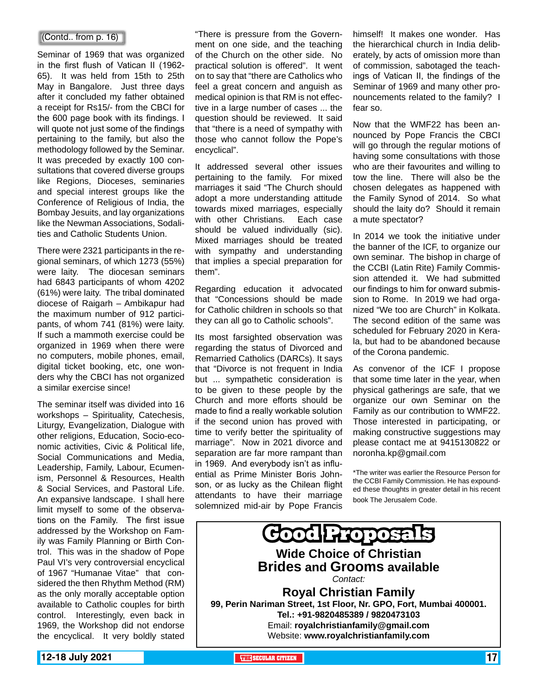#### (Contd.. from p. 16)

Seminar of 1969 that was organized in the first flush of Vatican II (1962- 65). It was held from 15th to 25th May in Bangalore. Just three days after it concluded my father obtained a receipt for Rs15/- from the CBCI for the 600 page book with its findings. I will quote not just some of the findings pertaining to the family, but also the methodology followed by the Seminar. It was preceded by exactly 100 consultations that covered diverse groups like Regions, Dioceses, seminaries and special interest groups like the Conference of Religious of India, the Bombay Jesuits, and lay organizations like the Newman Associations, Sodalities and Catholic Students Union.

There were 2321 participants in the regional seminars, of which 1273 (55%) were laity. The diocesan seminars had 6843 participants of whom 4202 (61%) were laity. The tribal dominated diocese of Raigarh – Ambikapur had the maximum number of 912 participants, of whom 741 (81%) were laity. If such a mammoth exercise could be organized in 1969 when there were no computers, mobile phones, email, digital ticket booking, etc, one wonders why the CBCI has not organized a similar exercise since!

The seminar itself was divided into 16 workshops – Spirituality, Catechesis, Liturgy, Evangelization, Dialogue with other religions, Education, Socio-economic activities, Civic & Political life, Social Communications and Media, Leadership, Family, Labour, Ecumenism, Personnel & Resources, Health & Social Services, and Pastoral Life. An expansive landscape. I shall here limit myself to some of the observations on the Family. The first issue addressed by the Workshop on Family was Family Planning or Birth Control. This was in the shadow of Pope Paul VI's very controversial encyclical of 1967 "Humanae Vitae" that considered the then Rhythm Method (RM) as the only morally acceptable option available to Catholic couples for birth control. Interestingly, even back in 1969, the Workshop did not endorse the encyclical. It very boldly stated

"There is pressure from the Government on one side, and the teaching of the Church on the other side. No practical solution is offered". It went on to say that "there are Catholics who feel a great concern and anguish as medical opinion is that RM is not effective in a large number of cases ... the question should be reviewed. It said that "there is a need of sympathy with those who cannot follow the Pope's encyclical".

It addressed several other issues pertaining to the family. For mixed marriages it said "The Church should adopt a more understanding attitude towards mixed marriages, especially with other Christians. Each case should be valued individually (sic). Mixed marriages should be treated with sympathy and understanding that implies a special preparation for them".

Regarding education it advocated that "Concessions should be made for Catholic children in schools so that they can all go to Catholic schools".

Its most farsighted observation was regarding the status of Divorced and Remarried Catholics (DARCs). It says that "Divorce is not frequent in India but ... sympathetic consideration is to be given to these people by the Church and more efforts should be made to find a really workable solution if the second union has proved with time to verify better the spirituality of marriage". Now in 2021 divorce and separation are far more rampant than in 1969. And everybody isn't as influential as Prime Minister Boris Johnson, or as lucky as the Chilean flight attendants to have their marriage solemnized mid-air by Pope Francis himself! It makes one wonder. Has the hierarchical church in India deliberately, by acts of omission more than of commission, sabotaged the teachings of Vatican II, the findings of the Seminar of 1969 and many other pronouncements related to the family? I fear so.

Now that the WMF22 has been announced by Pope Francis the CBCI will go through the regular motions of having some consultations with those who are their favourites and willing to tow the line. There will also be the chosen delegates as happened with the Family Synod of 2014. So what should the laity do? Should it remain a mute spectator?

In 2014 we took the initiative under the banner of the ICF, to organize our own seminar. The bishop in charge of the CCBI (Latin Rite) Family Commission attended it. We had submitted our findings to him for onward submission to Rome. In 2019 we had organized "We too are Church" in Kolkata. The second edition of the same was scheduled for February 2020 in Kerala, but had to be abandoned because of the Corona pandemic.

As convenor of the ICF I propose that some time later in the year, when physical gatherings are safe, that we organize our own Seminar on the Family as our contribution to WMF22. Those interested in participating, or making constructive suggestions may please contact me at 9415130822 or noronha.kp@gmail.com

\*The writer was earlier the Resource Person for the CCBI Family Commission. He has expounded these thoughts in greater detail in his recent book The Jerusalem Code.



**12-18 July 2021 THE THE THE THE SECULAR CITIZEN THE THEFT IS A SECULAR CITIZEN THE**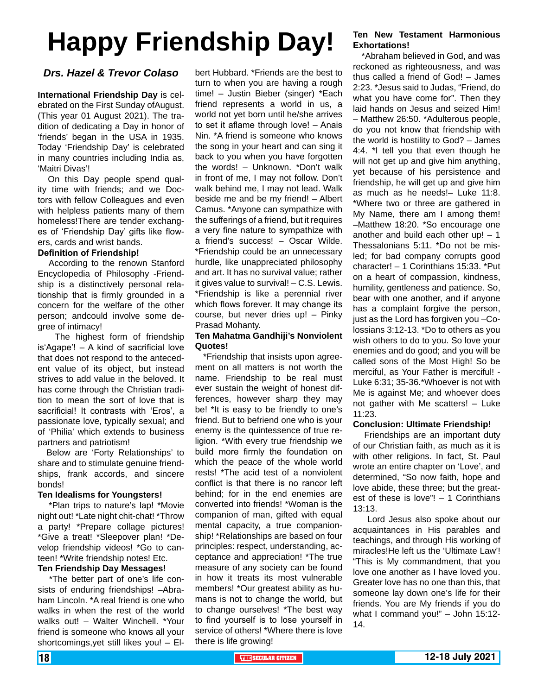# **Happy Friendship Day!**

#### *Drs. Hazel & Trevor Colaso*

**International Friendship Day** is celebrated on the First Sunday ofAugust. (This year 01 August 2021). The tradition of dedicating a Day in honor of 'friends' began in the USA in 1935. Today 'Friendship Day' is celebrated in many countries including India as, 'Maitri Divas'!

 On this Day people spend quality time with friends; and we Doctors with fellow Colleagues and even with helpless patients many of them homeless!There are tender exchanges of 'Friendship Day' gifts like flowers, cards and wrist bands.

#### **Definition of Friendship!**

 According to the renown Stanford Encyclopedia of Philosophy -Friendship is a distinctively personal relationship that is firmly grounded in a concern for the welfare of the other person; andcould involve some degree of intimacy!

 The highest form of friendship is'Agape'! – A kind of sacrificial love that does not respond to the antecedent value of its object, but instead strives to add value in the beloved. It has come through the Christian tradition to mean the sort of love that is sacrificial! It contrasts with 'Eros', a passionate love, typically sexual; and of 'Philia' which extends to business partners and patriotism!

 Below are 'Forty Relationships' to share and to stimulate genuine friendships, frank accords, and sincere bonds!

#### **Ten Idealisms for Youngsters!**

 \*Plan trips to nature's lap! \*Movie night out! \*Late night chit-chat! \*Throw a party! \*Prepare collage pictures! \*Give a treat! \*Sleepover plan! \*Develop friendship videos! \*Go to canteen! \*Write friendship notes! Etc.

#### **Ten Friendship Day Messages!**

 \*The better part of one's life consists of enduring friendships! –Abraham Lincoln. \*A real friend is one who walks in when the rest of the world walks out! – Walter Winchell. \*Your friend is someone who knows all your shortcomings,yet still likes you! – Elbert Hubbard. \*Friends are the best to turn to when you are having a rough time! – Justin Bieber (singer) \*Each friend represents a world in us, a world not yet born until he/she arrives to set it aflame through love! – Anais Nin. \*A friend is someone who knows the song in your heart and can sing it back to you when you have forgotten the words! – Unknown. \*Don't walk in front of me, I may not follow. Don't walk behind me, I may not lead. Walk beside me and be my friend! – Albert Camus. \*Anyone can sympathize with the sufferings of a friend, but it requires a very fine nature to sympathize with a friend's success! – Oscar Wilde. \*Friendship could be an unnecessary hurdle, like unappreciated philosophy and art. It has no survival value; rather it gives value to survival! – C.S. Lewis. \*Friendship is like a perennial river which flows forever. It may change its course, but never dries up! – Pinky Prasad Mohanty.

#### **Ten Mahatma Gandhiji's Nonviolent Quotes!**

 \*Friendship that insists upon agreement on all matters is not worth the name. Friendship to be real must ever sustain the weight of honest differences, however sharp they may be! \*It is easy to be friendly to one's friend. But to befriend one who is your enemy is the quintessence of true religion. \*With every true friendship we build more firmly the foundation on which the peace of the whole world rests! \*The acid test of a nonviolent conflict is that there is no rancor left behind; for in the end enemies are converted into friends! \*Woman is the companion of man, gifted with equal mental capacity, a true companionship! \*Relationships are based on four principles: respect, understanding, acceptance and appreciation! \*The true measure of any society can be found in how it treats its most vulnerable members! \*Our greatest ability as humans is not to change the world, but to change ourselves! \*The best way to find yourself is to lose yourself in service of others! \*Where there is love there is life growing!

#### **Ten New Testament Harmonious Exhortations!**

 \*Abraham believed in God, and was reckoned as righteousness, and was thus called a friend of God! – James 2:23. \*Jesus said to Judas, "Friend, do what you have come for". Then they laid hands on Jesus and seized Him! – Matthew 26:50. \*Adulterous people, do you not know that friendship with the world is hostility to God? – James 4:4. \*I tell you that even though he will not get up and give him anything, yet because of his persistence and friendship, he will get up and give him as much as he needs!– Luke 11:8. \*Where two or three are gathered in My Name, there am I among them! –Matthew 18:20. \*So encourage one another and build each other up! – 1 Thessalonians 5:11. \*Do not be misled; for bad company corrupts good character! – 1 Corinthians 15:33. \*Put on a heart of compassion, kindness, humility, gentleness and patience. So, bear with one another, and if anyone has a complaint forgive the person, just as the Lord has forgiven you –Colossians 3:12-13. \*Do to others as you wish others to do to you. So love your enemies and do good; and you will be called sons of the Most High! So be merciful, as Your Father is merciful! - Luke 6:31; 35-36.\*Whoever is not with Me is against Me; and whoever does not gather with Me scatters! – Luke 11:23.

#### **Conclusion: Ultimate Friendship!**

 Friendships are an important duty of our Christian faith, as much as it is with other religions. In fact, St. Paul wrote an entire chapter on 'Love', and determined, "So now faith, hope and love abide, these three; but the greatest of these is love"! – 1 Corinthians 13:13.

 Lord Jesus also spoke about our acquaintances in His parables and teachings, and through His working of miracles!He left us the 'Ultimate Law'! "This is My commandment, that you love one another as I have loved you. Greater love has no one than this, that someone lay down one's life for their friends. You are My friends if you do what I command you!" - John 15:12-14.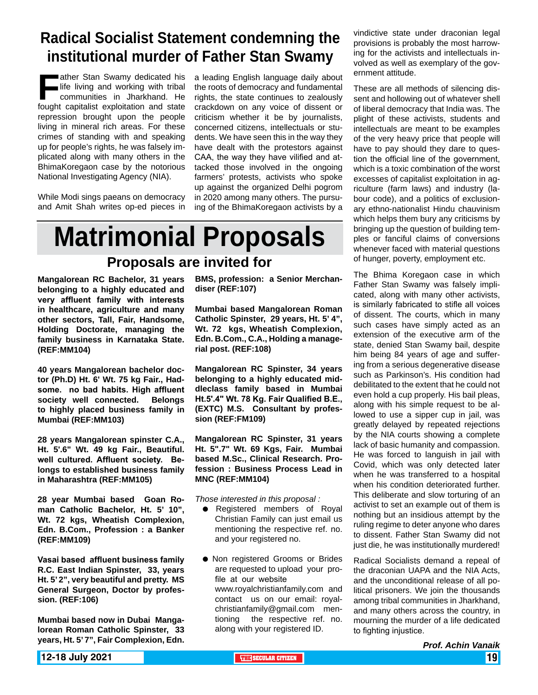## **Radical Socialist Statement condemning the institutional murder of Father Stan Swamy**

**Father Stan Swamy dedicated his**<br>life living and working with tribal<br>communities in Jharkhand. He<br>fought capitalist exploitation and state life living and working with tribal communities in Jharkhand. He fought capitalist exploitation and state repression brought upon the people living in mineral rich areas. For these crimes of standing with and speaking up for people's rights, he was falsely implicated along with many others in the BhimaKoregaon case by the notorious National Investigating Agency (NIA).

While Modi sings paeans on democracy and Amit Shah writes op-ed pieces in a leading English language daily about the roots of democracy and fundamental rights, the state continues to zealously crackdown on any voice of dissent or criticism whether it be by journalists, concerned citizens, intellectuals or students. We have seen this in the way they have dealt with the protestors against CAA, the way they have vilified and attacked those involved in the ongoing farmers' protests, activists who spoke up against the organized Delhi pogrom in 2020 among many others. The pursuing of the BhimaKoregaon activists by a

# **Matrimonial Proposals**

### **Proposals are invited for**

**Mangalorean RC Bachelor, 31 years belonging to a highly educated and very affluent family with interests in healthcare, agriculture and many other sectors, Tall, Fair, Handsome, Holding Doctorate, managing the family business in Karnataka State. (REF:MM104)**

**40 years Mangalorean bachelor doctor (Ph.D) Ht. 6' Wt. 75 kg Fair., Hadsome. no bad habits. High affluent society well connected. Belongs to highly placed business family in Mumbai (REF:MM103)**

**28 years Mangalorean spinster C.A., Ht. 5'.6" Wt. 49 kg Fair., Beautiful. well cultured. Affluent society. Belongs to established business family in Maharashtra (REF:MM105)**

**28 year Mumbai based Goan Roman Catholic Bachelor, Ht. 5' 10", Wt. 72 kgs, Wheatish Complexion, Edn. B.Com., Profession : a Banker (REF:MM109)**

**Vasai based affluent business family R.C. East Indian Spinster, 33, years Ht. 5' 2", very beautiful and pretty. MS General Surgeon, Doctor by profession. (REF:106)**

**Mumbai based now in Dubai Mangalorean Roman Catholic Spinster, 33 years, Ht. 5' 7", Fair Complexion, Edn.**  **BMS, profession: a Senior Merchandiser (REF:107)**

**Mumbai based Mangalorean Roman Catholic Spinster, 29 years, Ht. 5' 4", Wt. 72 kgs, Wheatish Complexion, Edn. B.Com., C.A., Holding a managerial post. (REF:108)** 

**Mangalorean RC Spinster, 34 years belonging to a highly educated middleclass family based in Mumbai Ht.5'.4" Wt. 78 Kg. Fair Qualified B.E., (EXTC) M.S. Consultant by profession (REF:FM109)**

**Mangalorean RC Spinster, 31 years Ht. 5".7" Wt. 69 Kgs, Fair. Mumbai based M.Sc., Clinical Research. Profession : Business Process Lead in MNC (REF:MM104)**

*Those interested in this proposal :*

- **•** Registered members of Royal Christian Family can just email us mentioning the respective ref. no. and your registered no.
- $\bullet$  Non registered Grooms or Brides are requested to upload your profile at our website www.royalchristianfamily.com and contact us on our email: royalchristianfamily@gmail.com mentioning the respective ref. no. along with your registered ID.

vindictive state under draconian legal provisions is probably the most harrowing for the activists and intellectuals involved as well as exemplary of the government attitude.

These are all methods of silencing dissent and hollowing out of whatever shell of liberal democracy that India was. The plight of these activists, students and intellectuals are meant to be examples of the very heavy price that people will have to pay should they dare to question the official line of the government, which is a toxic combination of the worst excesses of capitalist exploitation in agriculture (farm laws) and industry (labour code), and a politics of exclusionary ethno-nationalist Hindu chauvinism which helps them bury any criticisms by bringing up the question of building temples or fanciful claims of conversions whenever faced with material questions of hunger, poverty, employment etc.

The Bhima Koregaon case in which Father Stan Swamy was falsely implicated, along with many other activists, is similarly fabricated to stifle all voices of dissent. The courts, which in many such cases have simply acted as an extension of the executive arm of the state, denied Stan Swamy bail, despite him being 84 years of age and suffering from a serious degenerative disease such as Parkinson's. His condition had debilitated to the extent that he could not even hold a cup properly. His bail pleas, along with his simple request to be allowed to use a sipper cup in jail, was greatly delayed by repeated rejections by the NIA courts showing a complete lack of basic humanity and compassion. He was forced to languish in jail with Covid, which was only detected later when he was transferred to a hospital when his condition deteriorated further. This deliberate and slow torturing of an activist to set an example out of them is nothing but an insidious attempt by the ruling regime to deter anyone who dares to dissent. Father Stan Swamy did not just die, he was institutionally murdered!

Radical Socialists demand a repeal of the draconian UAPA and the NIA Acts, and the unconditional release of all political prisoners. We join the thousands among tribal communities in Jharkhand, and many others across the country, in mourning the murder of a life dedicated to fighting injustice.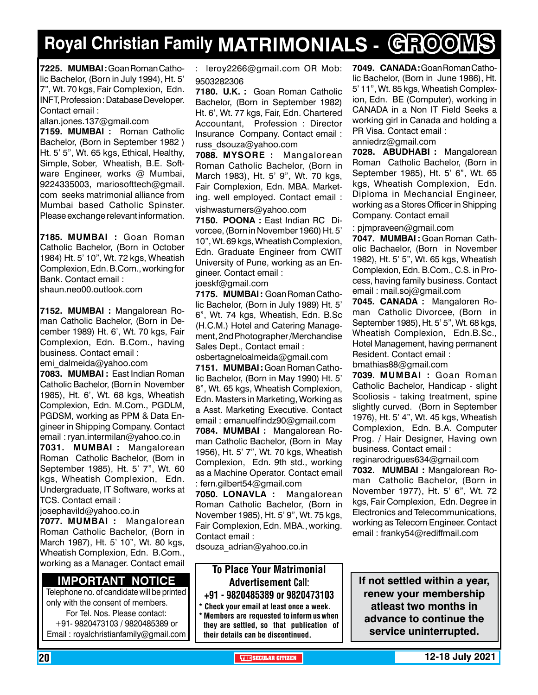# **Royal Christian Family MATRIMONIALS - GROOMS**

**7225. MUMBAI :** Goan Roman Catholic Bachelor, (Born in July 1994), Ht. 5' 7", Wt. 70 kgs, Fair Complexion, Edn. INFT, Profession : Database Developer. Contact email :

allan.jones.137@gmail.com

**7159. MUMBAI :** Roman Catholic Bachelor, (Born in September 1982 ) Ht. 5' 5", Wt. 65 kgs, Ethical, Healthy, Simple, Sober, Wheatish, B.E. Software Engineer, works @ Mumbai, 9224335003, mariosofttech@gmail. com seeks matrimonial alliance from Mumbai based Catholic Spinster. Please exchange relevant information.

**7185. MUMBAI :** Goan Roman Catholic Bachelor, (Born in October 1984) Ht. 5' 10", Wt. 72 kgs, Wheatish Complexion, Edn. B.Com., working for Bank. Contact email : shaun.neo00.outlook.com

**7152. MUMBAI :** Mangalorean Roman Catholic Bachelor, (Born in December 1989) Ht. 6', Wt. 70 kgs, Fair Complexion, Edn. B.Com., having business. Contact email :

emi\_dalmeida@yahoo.com

**7083. MUMBAI :** East Indian Roman Catholic Bachelor, (Born in November 1985), Ht. 6', Wt. 68 kgs, Wheatish Complexion, Edn. M.Com., PGDLM, PGDSM, working as PPM & Data Engineer in Shipping Company. Contact email : ryan.intermilan@yahoo.co.in

**7031. MUMBAI :** Mangalorean Roman Catholic Bachelor, (Born in September 1985), Ht. 5' 7", Wt. 60 kgs, Wheatish Complexion, Edn. Undergraduate, IT Software, works at TCS. Contact email :

josephavild@yahoo.co.in

**7077. MUMBAI :** Mangalorean Roman Catholic Bachelor, (Born in March 1987), Ht. 5' 10", Wt. 80 kgs, Wheatish Complexion, Edn. B.Com., working as a Manager. Contact email

#### **Important Notice**

Telephone no. of candidate will be printed only with the consent of members. For Tel. Nos. Please contact: +91- 9820473103 / 9820485389 or Email : royalchristianfamily@gmail.com

: leroy2266@gmail.com OR Mob: 9503282306

**7180. U.K. :** Goan Roman Catholic Bachelor, (Born in September 1982) Ht. 6', Wt. 77 kgs, Fair, Edn. Chartered Accountant, Profession : Director Insurance Company. Contact email : russ\_dsouza@yahoo.com

**7088. MYSORE :** Mangalorean Roman Catholic Bachelor, (Born in March 1983), Ht. 5' 9", Wt. 70 kgs, Fair Complexion, Edn. MBA. Marketing. well employed. Contact email : vishwasturners@yahoo.com

**7150. POONA :** East Indian RC Divorcee, (Born in November 1960) Ht. 5' 10", Wt. 69 kgs, Wheatish Complexion, Edn. Graduate Engineer from CWIT University of Pune, working as an Engineer. Contact email :

joeskf@gmail.com

**7175. MUMBAI :** Goan Roman Catholic Bachelor, (Born in July 1989) Ht. 5' 6", Wt. 74 kgs, Wheatish, Edn. B.Sc (H.C.M.) Hotel and Catering Management, 2nd Photographer /Merchandise Sales Dept., Contact email :

osbertagneloalmeida@gmail.com **7151. MUMBAI :** Goan Roman Catholic Bachelor, (Born in May 1990) Ht. 5' 8", Wt. 65 kgs, Wheatish Complexion, Edn. Masters in Marketing, Working as a Asst. Marketing Executive. Contact email : emanuelfindz90@gmail.com

**7084. MUMBAI :** Mangalorean Roman Catholic Bachelor, (Born in May 1956), Ht. 5' 7", Wt. 70 kgs, Wheatish Complexion, Edn. 9th std., working as a Machine Operator. Contact email : fern.gilbert54@gmail.com

**7050. LONAVLA :** Mangalorean Roman Catholic Bachelor, (Born in November 1985), Ht. 5' 9", Wt. 75 kgs, Fair Complexion, Edn. MBA., working. Contact email :

dsouza\_adrian@yahoo.co.in

#### To Place Your Matrimonial Advertisement Call: +91 - 9820485389 or 9820473103

Check your email at least once a week. Members are requested to inform us when they are settled, so that publication of their details can be discontinued.

**7049. CANADA :** Goan Roman Catholic Bachelor, (Born in June 1986), Ht. 5' 11", Wt. 85 kgs, Wheatish Complexion, Edn. BE (Computer), working in CANADA in a Non IT Field Seeks a working girl in Canada and holding a PR Visa. Contact email : anniedrz@gmail.com

**7028. ABUDHABI :** Mangalorean Roman Catholic Bachelor, (Born in September 1985), Ht. 5' 6", Wt. 65 kgs, Wheatish Complexion, Edn. Diploma in Mechancial Engineer, working as a Stores Officer in Shipping Company. Contact email

: pjmpraveen@gmail.com

**7047. MUMBAI :** Goan Roman Catholic Bachaelor, (Born in November 1982), Ht. 5' 5", Wt. 65 kgs, Wheatish Complexion, Edn. B.Com., C.S. in Process, having family business. Contact email : mail.soj@gmail.com

**7045. CANADA :** Mangaloren Roman Catholic Divorcee, (Born in September 1985), Ht. 5' 5", Wt. 68 kgs, Wheatish Complexion, Edn.B.Sc., Hotel Management, having permanent Resident. Contact email :

bmathias88@gmail.com

**7039. MUMBAI :** Goan Roman Catholic Bachelor, Handicap - slight Scoliosis - taking treatment, spine slightly curved. (Born in September 1976), Ht. 5' 4", Wt. 45 kgs, Wheatish Complexion, Edn. B.A. Computer Prog. / Hair Designer, Having own business. Contact email : reginarodrigues634@gmail.com

**7032. MUMBAI :** Mangalorean Roman Catholic Bachelor, (Born in November 1977), Ht. 5' 6", Wt. 72 kgs, Fair Complexion, Edn. Degree in Electronics and Telecommunications, working as Telecom Engineer. Contact email : franky54@rediffmail.com

**If not settled within a year, renew your membership atleast two months in advance to continue the service uninterrupted.**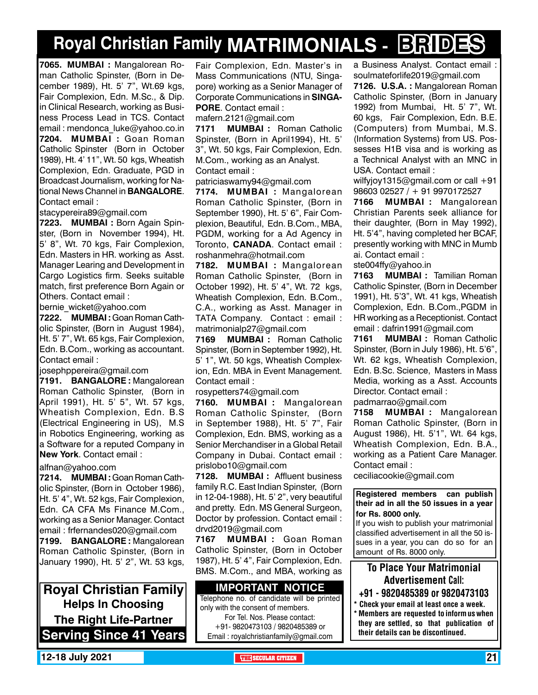# **Royal Christian Family MATRIMONIALS - BRIDES**

**7065. MUMBAI :** Mangalorean Roman Catholic Spinster, (Born in December 1989), Ht. 5' 7", Wt.69 kgs, Fair Complexion, Edn. M.Sc., & Dip. in Clinical Research, working as Business Process Lead in TCS. Contact email : mendonca luke@yahoo.co.in **7204. MUMBAI :** Goan Roman Catholic Spinster (Born in October 1989), Ht. 4' 11", Wt. 50 kgs, Wheatish Complexion, Edn. Graduate, PGD in Broadcast Journalism, working for National News Channel in **Bangalore**. Contact email :

stacypereira89@gmail.com

**7223. MUMBAI :** Born Again Spinster, (Born in November 1994), Ht. 5' 8", Wt. 70 kgs, Fair Complexion, Edn. Masters in HR. working as Asst. Manager Learing and Development in Cargo Logistics firm. Seeks suitable match, first preference Born Again or Others. Contact email :

bernie wicket@yahoo.com

**7222. MUMBAI :** Goan Roman Catholic Spinster, (Born in August 1984), Ht. 5' 7", Wt. 65 kgs, Fair Complexion, Edn. B.Com., working as accountant. Contact email :

josephppereira@gmail.com

**7191. BANGALORE :** Mangalorean Roman Catholic Spinster, (Born in April 1991), Ht. 5' 5", Wt. 57 kgs, Wheatish Complexion, Edn. B.S (Electrical Engineering in US), M.S in Robotics Engineering, working as a Software for a reputed Company in **New York**. Contact email :

#### alfnan@yahoo.com

**7214. MUMBAI :** Goan Roman Catholic Spinster, (Born in October 1986), Ht. 5' 4", Wt. 52 kgs, Fair Complexion, Edn. CA CFA Ms Finance M.Com., working as a Senior Manager. Contact email : frfernandes020@gmail.com

**7199. BANGALORE :** Mangalorean Roman Catholic Spinster, (Born in January 1990), Ht. 5' 2", Wt. 53 kgs,

**Royal Christian Family Helps In Choosing The Right Life-Partner Serving Since 41 Years** Fair Complexion, Edn. Master's in Mass Communications (NTU, Singapore) working as a Senior Manager of Corporate Communications in **SINGA-PORE**. Contact email :

mafern.2121@gmail.com

**7171 MUMBAI :** Roman Catholic Spinster, (Born in April1994), Ht. 5' 3", Wt. 50 kgs, Fair Complexion, Edn. M.Com., working as an Analyst. Contact email :

patriciaswamy94@gmail.com

**7174. MUMBAI :** Mangalorean Roman Catholic Spinster, (Born in September 1990), Ht. 5' 6", Fair Complexion, Beautiful, Edn. B.Com., MBA, PGDM, working for a Ad Agency in Toronto, **Canada**. Contact email : roshanmehra@hotmail.com

**7182. MUMBAI :** Mangalorean Roman Catholic Spinster, (Born in October 1992), Ht. 5' 4", Wt. 72 kgs, Wheatish Complexion, Edn. B.Com., C.A., working as Asst. Manager in TATA Company. Contact : email : matrimonialp27@gmail.com

**7169 MUMBAI :** Roman Catholic Spinster, (Born in September 1992), Ht. 5' 1", Wt. 50 kgs, Wheatish Complexion, Edn. MBA in Event Management. Contact email :

rosypetters74@gmail.com

**7160. MUMBAI :** Mangalorean Roman Catholic Spinster, (Born in September 1988), Ht. 5' 7", Fair Complexion, Edn. BMS, working as a Senior Merchandiser in a Global Retail Company in Dubai. Contact email : prislobo10@gmail.com

**7128. MUMBAI :** Affluent business family R.C. East Indian Spinster, (Born in 12-04-1988), Ht. 5' 2", very beautiful and pretty. Edn. MS General Surgeon, Doctor by profession. Contact email : drvd2019@gmail.com

**7167 MUMBAI :** Goan Roman Catholic Spinster, (Born in October 1987), Ht. 5' 4", Fair Complexion, Edn. BMS. M.Com., and MBA, working as

**Important Notice** Telephone no. of candidate will be printed only with the consent of members. For Tel. Nos. Please contact: +91- 9820473103 / 9820485389 or Email : royalchristianfamily@gmail.com

a Business Analyst. Contact email : soulmateforlife2019@gmail.com **7126. U.S.A. :** Mangalorean Roman Catholic Spinster, (Born in January 1992) from Mumbai, Ht. 5' 7", Wt. 60 kgs, Fair Complexion, Edn. B.E. (Computers) from Mumbai, M.S. (Information Systems) from US. Possesses H1B visa and is working as a Technical Analyst with an MNC in USA. Contact email :

wilfviov1315@gmail.com or call  $+91$ 98603 02527 / + 91 9970172527

**7166 MUMBAI :** Mangalorean Christian Parents seek alliance for their daughter, (Born in May 1992), Ht. 5'4", having completed her BCAF, presently working with MNC in Mumb ai. Contact email :

ste004ffy@yahoo.in

**7163 MUMBAI :** Tamilian Roman Catholic Spinster, (Born in December 1991), Ht. 5'3", Wt. 41 kgs, Wheatish Complexion, Edn. B.Com.,PGDM in HR working as a Receptionist. Contact email : dafrin1991@gmail.com

**7161 MUMBAI :** Roman Catholic Spinster, (Born in July 1986), Ht. 5'6", Wt. 62 kgs, Wheatish Complexion, Edn. B.Sc. Science, Masters in Mass Media, working as a Asst. Accounts Director. Contact email : padmarrao@gmail.com

**7158 MUMBAI :** Mangalorean Roman Catholic Spinster, (Born in August 1986), Ht. 5'1", Wt. 64 kgs, Wheatish Complexion, Edn. B.A., working as a Patient Care Manager. Contact email :

ceciliacookie@gmail.com

**Registered members can publish their ad in all the 50 issues in a year for Rs. 8000 only.**

If you wish to publish your matrimonial classified advertisement in all the 50 issues in a year, you can do so for an amount of Rs. 8000 only.

#### To Place Your Matrimonial Advertisement Call: +91 - 9820485389 or 9820473103

- Check your email at least once a week.
- Members are requested to inform us when they are settled, so that publication of their details can be discontinued.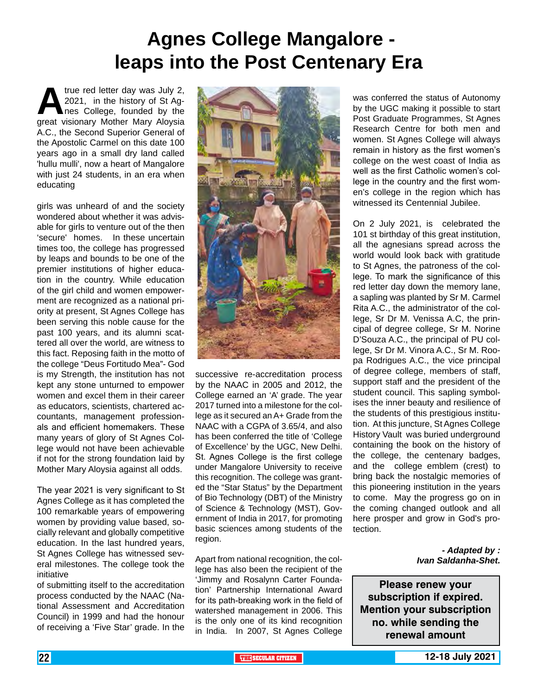## **Agnes College Mangalore leaps into the Post Centenary Era**

frue red letter day was July 2,<br>2021, in the history of St Ag-<br>nes College, founded by the<br>great visionary Mother Mary Alovsia 2021, in the history of St Agnes College, founded by the great visionary Mother Mary Aloysia A.C., the Second Superior General of the Apostolic Carmel on this date 100 years ago in a small dry land called 'hullu mulli', now a heart of Mangalore with just 24 students, in an era when educating

girls was unheard of and the society wondered about whether it was advisable for girls to venture out of the then 'secure' homes. In these uncertain times too, the college has progressed by leaps and bounds to be one of the premier institutions of higher education in the country. While education of the girl child and women empowerment are recognized as a national priority at present, St Agnes College has been serving this noble cause for the past 100 years, and its alumni scattered all over the world, are witness to this fact. Reposing faith in the motto of the college "Deus Fortitudo Mea"- God is my Strength, the institution has not kept any stone unturned to empower women and excel them in their career as educators, scientists, chartered accountants, management professionals and efficient homemakers. These many years of glory of St Agnes College would not have been achievable if not for the strong foundation laid by Mother Mary Aloysia against all odds.

The year 2021 is very significant to St Agnes College as it has completed the 100 remarkable years of empowering women by providing value based, socially relevant and globally competitive education. In the last hundred years, St Agnes College has witnessed several milestones. The college took the initiative

of submitting itself to the accreditation process conducted by the NAAC (National Assessment and Accreditation Council) in 1999 and had the honour of receiving a 'Five Star' grade. In the



successive re-accreditation process by the NAAC in 2005 and 2012, the College earned an 'A' grade. The year 2017 turned into a milestone for the college as it secured an A+ Grade from the NAAC with a CGPA of 3.65/4, and also has been conferred the title of 'College of Excellence' by the UGC, New Delhi. St. Agnes College is the first college under Mangalore University to receive this recognition. The college was granted the "Star Status" by the Department of Bio Technology (DBT) of the Ministry of Science & Technology (MST), Government of India in 2017, for promoting basic sciences among students of the region.

Apart from national recognition, the college has also been the recipient of the 'Jimmy and Rosalynn Carter Foundation' Partnership International Award for its path-breaking work in the field of watershed management in 2006. This is the only one of its kind recognition in India. In 2007, St Agnes College

was conferred the status of Autonomy by the UGC making it possible to start Post Graduate Programmes, St Agnes Research Centre for both men and women. St Agnes College will always remain in history as the first women's college on the west coast of India as well as the first Catholic women's college in the country and the first women's college in the region which has witnessed its Centennial Jubilee.

On 2 July 2021, is celebrated the 101 st birthday of this great institution, all the agnesians spread across the world would look back with gratitude to St Agnes, the patroness of the college. To mark the significance of this red letter day down the memory lane, a sapling was planted by Sr M. Carmel Rita A.C., the administrator of the college, Sr Dr M. Venissa A.C, the principal of degree college, Sr M. Norine D'Souza A.C., the principal of PU college, Sr Dr M. Vinora A.C., Sr M. Roopa Rodrigues A.C., the vice principal of degree college, members of staff, support staff and the president of the student council. This sapling symbolises the inner beauty and resilience of the students of this prestigious institution. At this juncture, St Agnes College History Vault was buried underground containing the book on the history of the college, the centenary badges, and the college emblem (crest) to bring back the nostalgic memories of this pioneering institution in the years to come. May the progress go on in the coming changed outlook and all here prosper and grow in God's protection.

> *- Adapted by : Ivan Saldanha-Shet.*

**Please renew your subscription if expired. Mention your subscription no. while sending the renewal amount**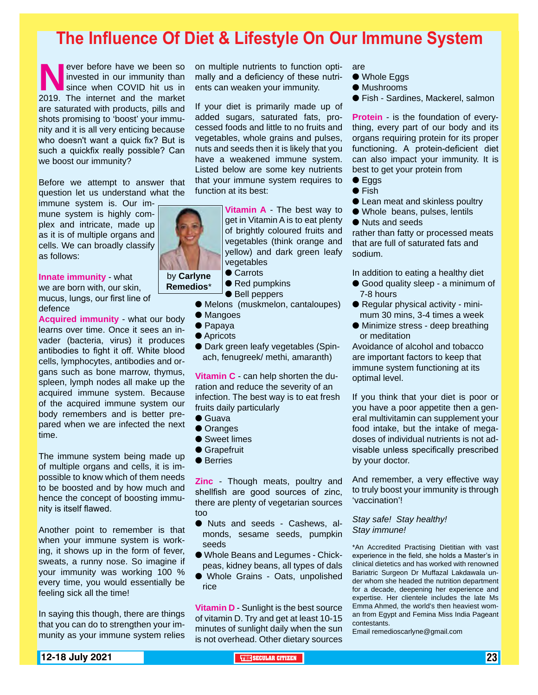## **The Influence Of Diet & Lifestyle On Our Immune System**

ever before have we been so<br>invested in our immunity than<br>since when COVID hit us in<br>2019. The internet and the market invested in our immunity than since when COVID hit us in 2019. The internet and the market are saturated with products, pills and shots promising to 'boost' your immunity and it is all very enticing because who doesn't want a quick fix? But is such a quickfix really possible? Can we boost our immunity?

Before we attempt to answer that question let us understand what the

immune system is. Our immune system is highly complex and intricate, made up as it is of multiple organs and cells. We can broadly classify as follows:

**Innate immunity** - what we are born with, our skin, mucus, lungs, our first line of defence

**Acquired immunity** - what our body learns over time. Once it sees an invader (bacteria, virus) it produces antibodies to fight it off. White blood cells, lymphocytes, antibodies and organs such as bone marrow, thymus, spleen, lymph nodes all make up the acquired immune system. Because of the acquired immune system our body remembers and is better prepared when we are infected the next time.

The immune system being made up of multiple organs and cells, it is impossible to know which of them needs to be boosted and by how much and hence the concept of boosting immunity is itself flawed.

Another point to remember is that when your immune system is working, it shows up in the form of fever, sweats, a runny nose. So imagine if your immunity was working 100 % every time, you would essentially be feeling sick all the time!

In saying this though, there are things that you can do to strengthen your immunity as your immune system relies on multiple nutrients to function optimally and a deficiency of these nutrients can weaken your immunity.

If your diet is primarily made up of added sugars, saturated fats, processed foods and little to no fruits and vegetables, whole grains and pulses, nuts and seeds then it is likely that you have a weakened immune system. Listed below are some key nutrients that your immune system requires to function at its best:



**Vitamin A** - The best way to get in Vitamin A is to eat plenty of brightly coloured fruits and vegetables (think orange and yellow) and dark green leafy vegetables ● Carrots

- $\bullet$  Red pumpkins
- Bell peppers
- $\bullet$  Melons (muskmelon, cantaloupes)
- Mangoes
- $\bullet$  Papaya
- Apricots
- **O** Dark green leafy vegetables (Spinach, fenugreek/ methi, amaranth)

**Vitamin C** - can help shorten the duration and reduce the severity of an infection. The best way is to eat fresh fruits daily particularly

- Guava
- **Oranges**
- Sweet limes
- **Grapefruit**
- Berries

**Zinc** - Though meats, poultry and shellfish are good sources of zinc, there are plenty of vegetarian sources too

- **Nuts and seeds Cashews, al**monds, sesame seeds, pumpkin seeds
- l Whole Beans and Legumes Chickpeas, kidney beans, all types of dals
- **Whole Grains Oats, unpolished** rice

**Vitamin D** - Sunlight is the best source of vitamin D. Try and get at least 10-15 minutes of sunlight daily when the sun is not overhead. Other dietary sources

- are
- Whole Eggs
- Mushrooms
- Fish Sardines, Mackerel, salmon

**Protein** - is the foundation of everything, every part of our body and its organs requiring protein for its proper functioning. A protein-deficient diet can also impact your immunity. It is best to get your protein from

- $\bullet$  Eggs
- $\bullet$  Fish
- **Exammeat and skinless poultry**
- l Whole beans, pulses, lentils
- Nuts and seeds

rather than fatty or processed meats that are full of saturated fats and sodium.

In addition to eating a healthy diet

- **Good quality sleep a minimum of** 7-8 hours
- Regular physical activity minimum 30 mins, 3-4 times a week
- **In Minimize stress deep breathing** or meditation

Avoidance of alcohol and tobacco are important factors to keep that immune system functioning at its optimal level.

If you think that your diet is poor or you have a poor appetite then a general multivitamin can supplement your food intake, but the intake of megadoses of individual nutrients is not advisable unless specifically prescribed by your doctor.

And remember, a very effective way to truly boost your immunity is through 'vaccination'!

#### *Stay safe! Stay healthy! Stay immune!*

\*An Accredited Practising Dietitian with vast experience in the field, she holds a Master's in clinical dietetics and has worked with renowned Bariatric Surgeon Dr Muffazal Lakdawala under whom she headed the nutrition department for a decade, deepening her experience and expertise. Her clientele includes the late Ms Emma Ahmed, the world's then heaviest woman from Egypt and Femina Miss India Pageant contestants.

Email remedioscarlyne@gmail.com